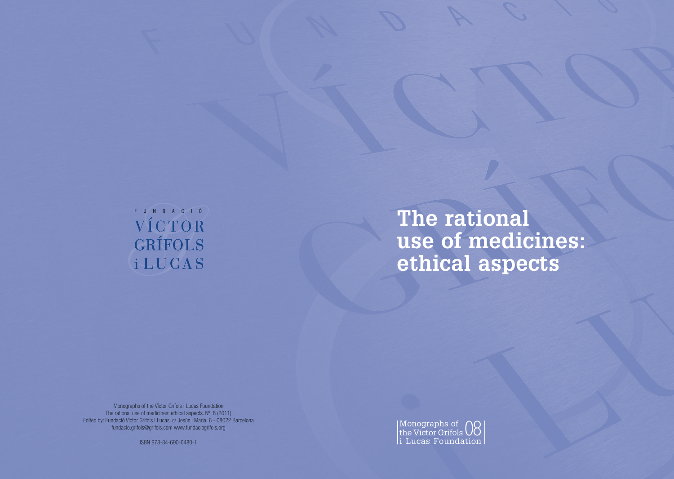# FUNDACIÓ VÍCTOR GRÍFOLS **iLUCAS**

# **The rational use of medicines: ethical aspects**

Monographs of the Víctor Grífols i Lucas Foundation The rational use of medicines: ethical aspects. N°. 8 (2011) Edited by: Fundació Víctor Grífols i Lucas. c/ Jesús i Maria, 6 - 08022 Barcelona fundacio.grifols@grifols.com www.fundaciogrifols.org



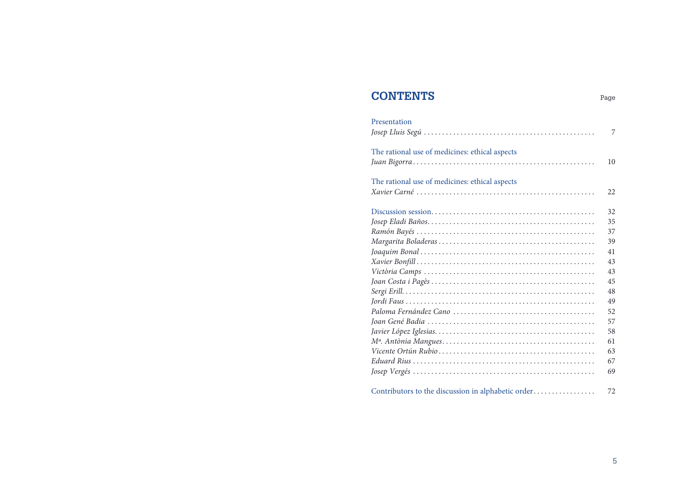### **CONTENTS** Page

| Presentation                                       |    |
|----------------------------------------------------|----|
|                                                    | 7  |
| The rational use of medicines: ethical aspects     |    |
|                                                    | 10 |
| The rational use of medicines: ethical aspects     |    |
|                                                    | 22 |
|                                                    | 32 |
|                                                    | 35 |
|                                                    | 37 |
|                                                    | 39 |
|                                                    | 41 |
|                                                    | 43 |
|                                                    | 43 |
|                                                    | 45 |
|                                                    | 48 |
|                                                    | 49 |
|                                                    | 52 |
|                                                    | 57 |
|                                                    | 58 |
|                                                    | 61 |
|                                                    | 63 |
|                                                    | 67 |
|                                                    | 69 |
| Contributors to the discussion in alphabetic order | 72 |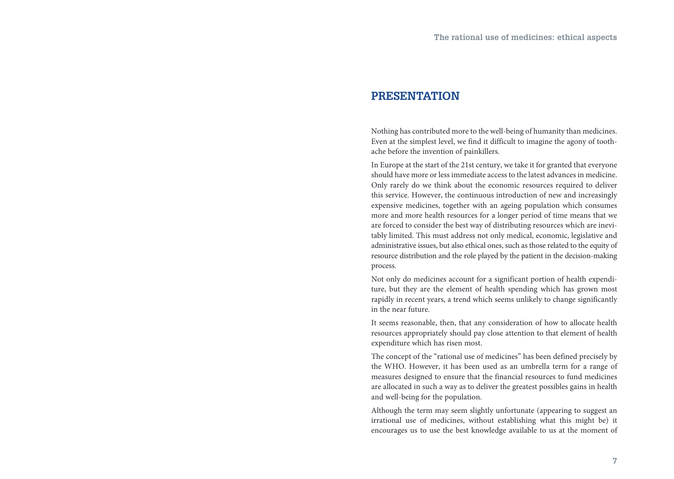### **PRESENTATION**

Nothing has contributed more to the well-being of humanity than medicines. Even at the simplest level, we find it difficult to imagine the agony of toothache before the invention of painkillers.

In Europe at the start of the 21st century, we take it for granted that everyone should have more or less immediate access to the latest advances in medicine. Only rarely do we think about the economic resources required to deliver this service. However, the continuous introduction of new and increasingly expensive medicines, together with an ageing population which consumes more and more health resources for a longer period of time means that we are forced to consider the best way of distributing resources which are inevitably limited. This must address not only medical, economic, legislative and administrative issues, but also ethical ones, such as those related to the equity of resource distribution and the role played by the patient in the decision-making process.

Not only do medicines account for a significant portion of health expenditure, but they are the element of health spending which has grown most rapidly in recent years, a trend which seems unlikely to change significantly in the near future.

It seems reasonable, then, that any consideration of how to allocate health resources appropriately should pay close attention to that element of health expenditure which has risen most.

The concept of the "rational use of medicines" has been defined precisely by the WHO. However, it has been used as an umbrella term for a range of measures designed to ensure that the financial resources to fund medicines are allocated in such a way as to deliver the greatest possibles gains in health and well-being for the population.

Although the term may seem slightly unfortunate (appearing to suggest an irrational use of medicines, without establishing what this might be) it encourages us to use the best knowledge available to us at the moment of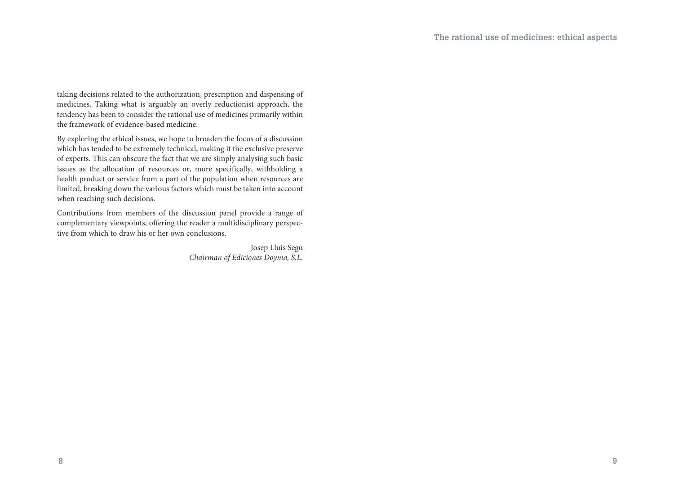taking decisions related to the authorization, prescription and dispensing of medicines. Taking what is arguably an overly reductionist approach, the tendency has been to consider the rational use of medicines primarily within the framework of evidence-based medicine.

By exploring the ethical issues, we hope to broaden the focus of a discussion which has tended to be extremely technical, making it the exclusive preserve of experts. This can obscure the fact that we are simply analysing such basic issues as the allocation of resources or, more specifically, withholding a health product or service from a part of the population when resources are limited, breaking down the various factors which must be taken into account when reaching such decisions.

Contributions from members of the discussion panel provide a range of complementary viewpoints, offering the reader a multidisciplinary perspective from which to draw his or her own conclusions.

> Josep Lluis Segú *Chairman of Ediciones Doyma, S.L.*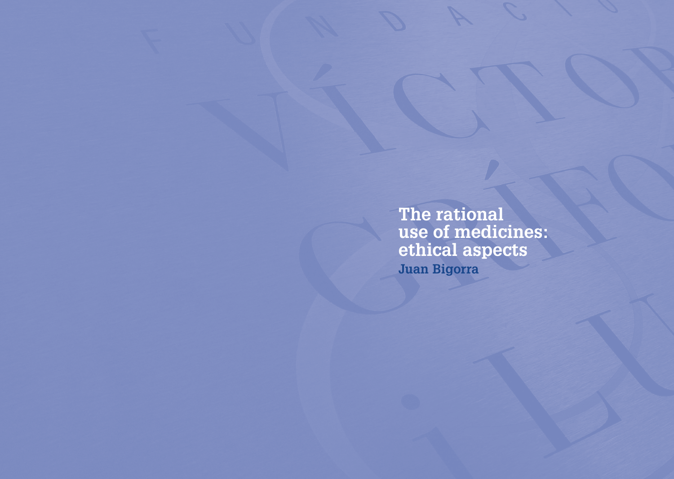**The rational use of medicines: ethical aspects Juan Bigorra**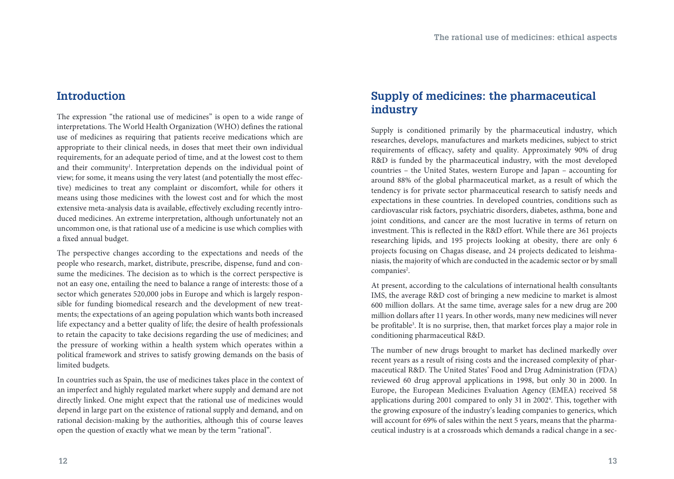### **Introduction**

The expression "the rational use of medicines" is open to a wide range of interpretations. The World Health Organization (WHO) defines the rational use of medicines as requiring that patients receive medications which are appropriate to their clinical needs, in doses that meet their own individual requirements, for an adequate period of time, and at the lowest cost to them and their community<sup>1</sup>. Interpretation depends on the individual point of view; for some, it means using the very latest (and potentially the most effective) medicines to treat any complaint or discomfort, while for others it means using those medicines with the lowest cost and for which the most extensive meta-analysis data is available, effectively excluding recently introduced medicines. An extreme interpretation, although unfortunately not an uncommon one, is that rational use of a medicine is use which complies with a fixed annual budget.

The perspective changes according to the expectations and needs of the people who research, market, distribute, prescribe, dispense, fund and consume the medicines. The decision as to which is the correct perspective is not an easy one, entailing the need to balance a range of interests: those of a sector which generates 520,000 jobs in Europe and which is largely responsible for funding biomedical research and the development of new treatments; the expectations of an ageing population which wants both increased life expectancy and a better quality of life; the desire of health professionals to retain the capacity to take decisions regarding the use of medicines; and the pressure of working within a health system which operates within a political framework and strives to satisfy growing demands on the basis of limited budgets.

In countries such as Spain, the use of medicines takes place in the context of an imperfect and highly regulated market where supply and demand are not directly linked. One might expect that the rational use of medicines would depend in large part on the existence of rational supply and demand, and on rational decision-making by the authorities, although this of course leaves open the question of exactly what we mean by the term "rational".

### **Supply of medicines: the pharmaceutical industry**

Supply is conditioned primarily by the pharmaceutical industry, which researches, develops, manufactures and markets medicines, subject to strict requirements of efficacy, safety and quality. Approximately 90% of drug R&D is funded by the pharmaceutical industry, with the most developed countries – the United States, western Europe and Japan – accounting for around 88% of the global pharmaceutical market, as a result of which the tendency is for private sector pharmaceutical research to satisfy needs and expectations in these countries. In developed countries, conditions such as cardiovascular risk factors, psychiatric disorders, diabetes, asthma, bone and joint conditions, and cancer are the most lucrative in terms of return on investment. This is reflected in the R&D effort. While there are 361 projects researching lipids, and 195 projects looking at obesity, there are only 6 projects focusing on Chagas disease, and 24 projects dedicated to leishmaniasis, the majority of which are conducted in the academic sector or by small companies<sup>2</sup>.

At present, according to the calculations of international health consultants IMS, the average R&D cost of bringing a new medicine to market is almost 600 million dollars. At the same time, average sales for a new drug are 200 million dollars after 11 years. In other words, many new medicines will never be profitable<sup>3</sup>. It is no surprise, then, that market forces play a major role in conditioning pharmaceutical R&D.

The number of new drugs brought to market has declined markedly over recent years as a result of rising costs and the increased complexity of pharmaceutical R&D. The United States' Food and Drug Administration (FDA) reviewed 60 drug approval applications in 1998, but only 30 in 2000. In Europe, the European Medicines Evaluation Agency (EMEA) received 58 applications during 2001 compared to only 31 in 2002<sup>4</sup>. This, together with the growing exposure of the industry's leading companies to generics, which will account for 69% of sales within the next 5 years, means that the pharmaceutical industry is at a crossroads which demands a radical change in a sec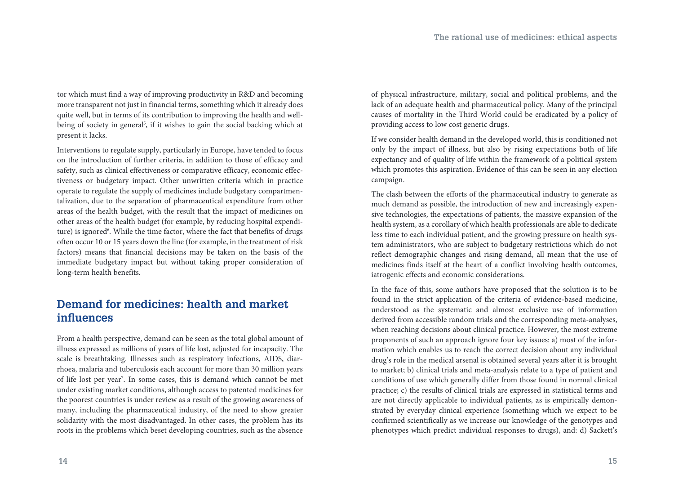tor which must find a way of improving productivity in R&D and becoming more transparent not just in financial terms, something which it already does quite well, but in terms of its contribution to improving the health and wellbeing of society in general<sup>5</sup>, if it wishes to gain the social backing which at present it lacks.

Interventions to regulate supply, particularly in Europe, have tended to focus on the introduction of further criteria, in addition to those of efficacy and safety, such as clinical effectiveness or comparative efficacy, economic effectiveness or budgetary impact. Other unwritten criteria which in practice operate to regulate the supply of medicines include budgetary compartmentalization, due to the separation of pharmaceutical expenditure from other areas of the health budget, with the result that the impact of medicines on other areas of the health budget (for example, by reducing hospital expenditure) is ignored<sup>6</sup>. While the time factor, where the fact that benefits of drugs often occur 10 or 15 years down the line (for example, in the treatment of risk factors) means that financial decisions may be taken on the basis of the immediate budgetary impact but without taking proper consideration of long-term health benefits.

### **Demand for medicines: health and market influences**

From a health perspective, demand can be seen as the total global amount of illness expressed as millions of years of life lost, adjusted for incapacity. The scale is breathtaking. Illnesses such as respiratory infections, AIDS, diarrhoea, malaria and tuberculosis each account for more than 30 million years of life lost per year<sup>7</sup>. In some cases, this is demand which cannot be met under existing market conditions, although access to patented medicines for the poorest countries is under review as a result of the growing awareness of many, including the pharmaceutical industry, of the need to show greater solidarity with the most disadvantaged. In other cases, the problem has its roots in the problems which beset developing countries, such as the absence

of physical infrastructure, military, social and political problems, and the lack of an adequate health and pharmaceutical policy. Many of the principal causes of mortality in the Third World could be eradicated by a policy of providing access to low cost generic drugs.

If we consider health demand in the developed world, this is conditioned not only by the impact of illness, but also by rising expectations both of life expectancy and of quality of life within the framework of a political system which promotes this aspiration. Evidence of this can be seen in any election campaign.

The clash between the efforts of the pharmaceutical industry to generate as much demand as possible, the introduction of new and increasingly expensive technologies, the expectations of patients, the massive expansion of the health system, as a corollary of which health professionals are able to dedicate less time to each individual patient, and the growing pressure on health system administrators, who are subject to budgetary restrictions which do not reflect demographic changes and rising demand, all mean that the use of medicines finds itself at the heart of a conflict involving health outcomes, iatrogenic effects and economic considerations.

In the face of this, some authors have proposed that the solution is to be found in the strict application of the criteria of evidence-based medicine, understood as the systematic and almost exclusive use of information derived from accessible random trials and the corresponding meta-analyses, when reaching decisions about clinical practice. However, the most extreme proponents of such an approach ignore four key issues: a) most of the information which enables us to reach the correct decision about any individual drug's role in the medical arsenal is obtained several years after it is brought to market; b) clinical trials and meta-analysis relate to a type of patient and conditions of use which generally differ from those found in normal clinical practice; c) the results of clinical trials are expressed in statistical terms and are not directly applicable to individual patients, as is empirically demonstrated by everyday clinical experience (something which we expect to be confirmed scientifically as we increase our knowledge of the genotypes and phenotypes which predict individual responses to drugs), and: d) Sackett's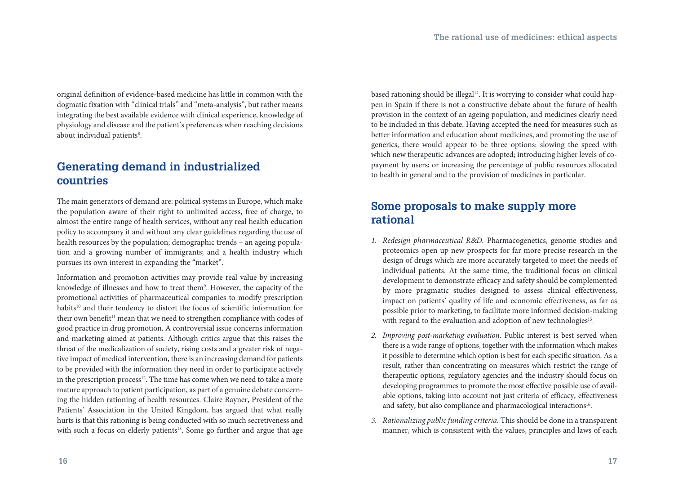original definition of evidence-based medicine has little in common with the dogmatic fixation with "clinical trials" and "meta-analysis", but rather means integrating the best available evidence with clinical experience, knowledge of physiology and disease and the patient's preferences when reaching decisions about individual patients<sup>8</sup>.

### **Generating demand in industrialized countries**

The main generators of demand are: political systems in Europe, which make the population aware of their right to unlimited access, free of charge, to almost the entire range of health services, without any real health education policy to accompany it and without any clear guidelines regarding the use of health resources by the population; demographic trends – an ageing population and a growing number of immigrants; and a health industry which pursues its own interest in expanding the "market".

Information and promotion activities may provide real value by increasing knowledge of illnesses and how to treat them°. However, the capacity of the promotional activities of pharmaceutical companies to modify prescription habits<sup>10</sup> and their tendency to distort the focus of scientific information for their own benefit<sup>11</sup> mean that we need to strengthen compliance with codes of good practice in drug promotion. A controversial issue concerns information and marketing aimed at patients. Although critics argue that this raises the threat of the medicalization of society, rising costs and a greater risk of negative impact of medical intervention, there is an increasing demand for patients to be provided with the information they need in order to participate actively in the prescription process<sup>12</sup>. The time has come when we need to take a more mature approach to patient participation, as part of a genuine debate concerning the hidden rationing of health resources. Claire Rayner, President of the Patients' Association in the United Kingdom, has argued that what really hurts is that this rationing is being conducted with so much secretiveness and with such a focus on elderly patients<sup>13</sup>. Some go further and argue that age based rationing should be illegal<sup>14</sup>. It is worrying to consider what could happen in Spain if there is not a constructive debate about the future of health provision in the context of an ageing population, and medicines clearly need to be included in this debate. Having accepted the need for measures such as better information and education about medicines, and promoting the use of generics, there would appear to be three options: slowing the speed with which new therapeutic advances are adopted; introducing higher levels of copayment by users; or increasing the percentage of public resources allocated to health in general and to the provision of medicines in particular.

### **Some proposals to make supply more rational**

- *1. Redesign pharmaceutical R*&*D.* Pharmacogenetics, genome studies and proteomics open up new prospects for far more precise research in the design of drugs which are more accurately targeted to meet the needs of individual patients. At the same time, the traditional focus on clinical development to demonstrate efficacy and safety should be complemented by more pragmatic studies designed to assess clinical effectiveness, impact on patients' quality of life and economic effectiveness, as far as possible prior to marketing, to facilitate more informed decision-making with regard to the evaluation and adoption of new technologies<sup>15</sup>.
- *2. Improving post-marketing evaluation*. Public interest is best served when there is a wide range of options, together with the information which makes it possible to determine which option is best for each specific situation. As a result, rather than concentrating on measures which restrict the range of therapeutic options, regulatory agencies and the industry should focus on developing programmes to promote the most effective possible use of available options, taking into account not just criteria of efficacy, effectiveness and safety, but also compliance and pharmacological interactions<sup>16</sup>.
- *3. Rationalizing public funding criteria.* This should be done in a transparent manner, which is consistent with the values, principles and laws of each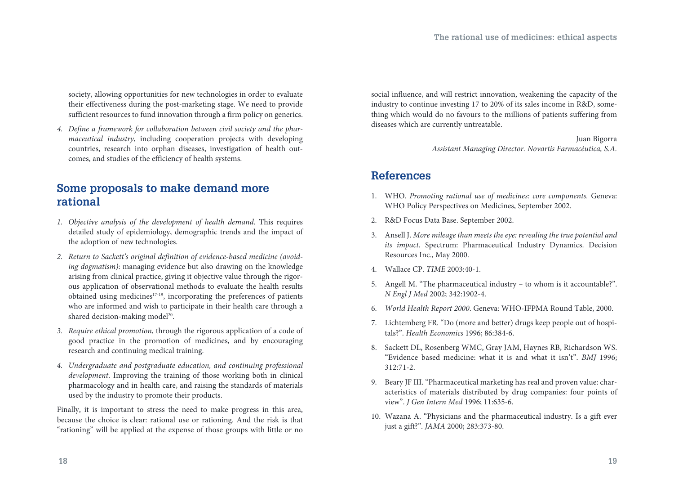society, allowing opportunities for new technologies in order to evaluate their effectiveness during the post-marketing stage. We need to provide sufficient resources to fund innovation through a firm policy on generics.

*4. Define a framework for collaboration between civil society and the pharmaceutical industry*, including cooperation projects with developing countries, research into orphan diseases, investigation of health outcomes, and studies of the efficiency of health systems.

### **Some proposals to make demand more rational**

- *1. Objective analysis of the development of health demand.* This requires detailed study of epidemiology, demographic trends and the impact of the adoption of new technologies.
- *2. Return to Sackett's original definition of evidence-based medicine (avoiding dogmatism)*: managing evidence but also drawing on the knowledge arising from clinical practice, giving it objective value through the rigorous application of observational methods to evaluate the health results obtained using medicines<sup>17-19</sup>, incorporating the preferences of patients who are informed and wish to participate in their health care through a shared decision-making model<sup>20</sup>.
- *3. Require ethical promotion*, through the rigorous application of a code of good practice in the promotion of medicines, and by encouraging research and continuing medical training.
- *4. Undergraduate and postgraduate education, and continuing professional development*. Improving the training of those working both in clinical pharmacology and in health care, and raising the standards of materials used by the industry to promote their products.

Finally, it is important to stress the need to make progress in this area, because the choice is clear: rational use or rationing. And the risk is that "rationing" will be applied at the expense of those groups with little or no social influence, and will restrict innovation, weakening the capacity of the industry to continue investing 17 to 20% of its sales income in R&D, something which would do no favours to the millions of patients suffering from diseases which are currently untreatable.

> Juan Bigorra *Assistant Managing Director. Novartis Farmacéutica, S.A.*

### **References**

- 1. WHO. *Promoting rational use of medicines: core components.* Geneva: WHO Policy Perspectives on Medicines, September 2002.
- 2. R&D Focus Data Base. September 2002.
- 3. Ansell J. *More mileage than meets the eye: revealing the true potential and its impact.* Spectrum: Pharmaceutical Industry Dynamics. Decision Resources Inc., May 2000.
- 4. Wallace CP. *TIME* 2003:40-1.
- 5. Angell M. "The pharmaceutical industry to whom is it accountable?". *N Engl J Med* 2002; 342:1902-4.
- 6. *World Health Report 2000*. Geneva: WHO-IFPMA Round Table, 2000.
- 7. Lichtemberg FR. "Do (more and better) drugs keep people out of hospitals?". *Health Economics* 1996; 86:384-6.
- 8. Sackett DL, Rosenberg WMC, Gray JAM, Haynes RB, Richardson WS. "Evidence based medicine: what it is and what it isn't". *BMJ* 1996; 312:71-2.
- 9. Beary JF III. "Pharmaceutical marketing has real and proven value: characteristics of materials distributed by drug companies: four points of view". *J Gen Intern Med* 1996; 11:635-6.
- 10. Wazana A. "Physicians and the pharmaceutical industry. Is a gift ever just a gift?". *JAMA* 2000; 283:373-80.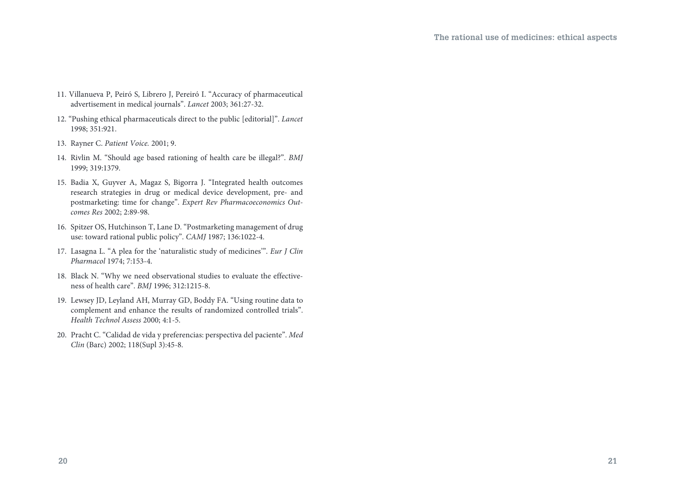- 11. Villanueva P, Peiró S, Librero J, Pereiró I. "Accuracy of pharmaceutical advertisement in medical journals". *Lancet* 2003; 361:27-32.
- 12. "Pushing ethical pharmaceuticals direct to the public [editorial]". *Lancet* 1998; 351:921.
- 13. Rayner C. *Patient Voice.* 2001; 9.
- 14. Rivlin M. "Should age based rationing of health care be illegal?". *BMJ* 1999; 319:1379.
- 15. Badia X, Guyver A, Magaz S, Bigorra J. "Integrated health outcomes research strategies in drug or medical device development, pre- and postmarketing: time for change". *Expert Rev Pharmacoeconomics Outcomes Res* 2002; 2:89-98.
- 16. Spitzer OS, Hutchinson T, Lane D. "Postmarketing management of drug use: toward rational public policy". *CAMJ* 1987; 136:1022-4.
- 17. Lasagna L. "A plea for the 'naturalistic study of medicines'". *Eur J Clin Pharmacol* 1974; 7:153-4.
- 18. Black N. "Why we need observational studies to evaluate the effectiveness of health care". *BMJ* 1996; 312:1215-8.
- 19. Lewsey JD, Leyland AH, Murray GD, Boddy FA. "Using routine data to complement and enhance the results of randomized controlled trials". *Health Technol Assess* 2000; 4:1-5.
- 20. Pracht C. "Calidad de vida y preferencias: perspectiva del paciente". *Med Clin* (Barc) 2002; 118(Supl 3):45-8.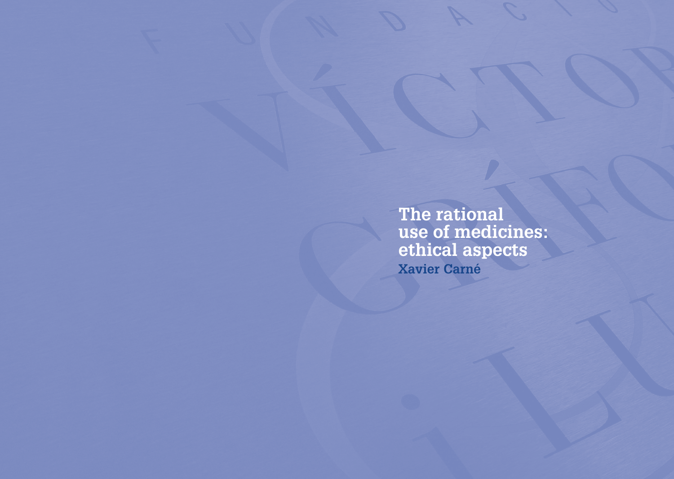**The rational use of medicines: ethical aspects Xavier Carné**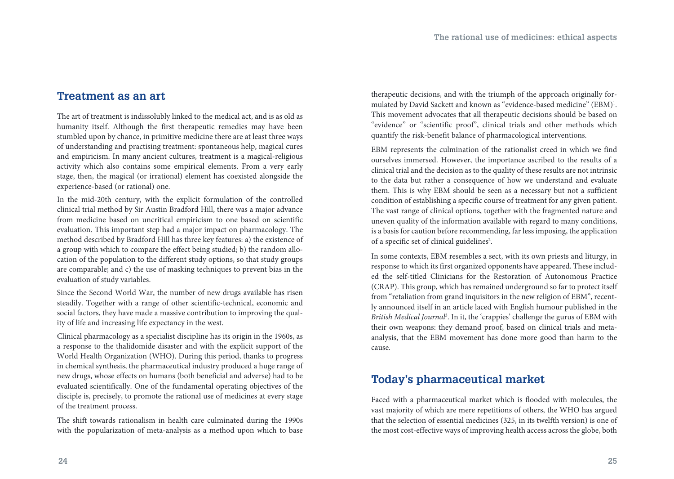### **Treatment as an art**

The art of treatment is indissolubly linked to the medical act, and is as old as humanity itself. Although the first therapeutic remedies may have been stumbled upon by chance, in primitive medicine there are at least three ways of understanding and practising treatment: spontaneous help, magical cures and empiricism. In many ancient cultures, treatment is a magical-religious activity which also contains some empirical elements. From a very early stage, then, the magical (or irrational) element has coexisted alongside the experience-based (or rational) one.

In the mid-20th century, with the explicit formulation of the controlled clinical trial method by Sir Austin Bradford Hill, there was a major advance from medicine based on uncritical empiricism to one based on scientific evaluation. This important step had a major impact on pharmacology. The method described by Bradford Hill has three key features: a) the existence of a group with which to compare the effect being studied; b) the random allocation of the population to the different study options, so that study groups are comparable; and c) the use of masking techniques to prevent bias in the evaluation of study variables.

Since the Second World War, the number of new drugs available has risen steadily. Together with a range of other scientific-technical, economic and social factors, they have made a massive contribution to improving the quality of life and increasing life expectancy in the west.

Clinical pharmacology as a specialist discipline has its origin in the 1960s, as a response to the thalidomide disaster and with the explicit support of the World Health Organization (WHO). During this period, thanks to progress in chemical synthesis, the pharmaceutical industry produced a huge range of new drugs, whose effects on humans (both beneficial and adverse) had to be evaluated scientifically. One of the fundamental operating objectives of the disciple is, precisely, to promote the rational use of medicines at every stage of the treatment process.

The shift towards rationalism in health care culminated during the 1990s with the popularization of meta-analysis as a method upon which to base therapeutic decisions, and with the triumph of the approach originally formulated by David Sackett and known as "evidence-based medicine" (EBM)<sup>1</sup>. This movement advocates that all therapeutic decisions should be based on "evidence" or "scientific proof", clinical trials and other methods which quantify the risk-benefit balance of pharmacological interventions.

EBM represents the culmination of the rationalist creed in which we find ourselves immersed. However, the importance ascribed to the results of a clinical trial and the decision as to the quality of these results are not intrinsic to the data but rather a consequence of how we understand and evaluate them. This is why EBM should be seen as a necessary but not a sufficient condition of establishing a specific course of treatment for any given patient. The vast range of clinical options, together with the fragmented nature and uneven quality of the information available with regard to many conditions, is a basis for caution before recommending, far less imposing, the application of a specific set of clinical guidelines<sup>2</sup>.

In some contexts, EBM resembles a sect, with its own priests and liturgy, in response to which its first organized opponents have appeared. These included the self-titled Clinicians for the Restoration of Autonomous Practice (CRAP). This group, which has remained underground so far to protect itself from "retaliation from grand inquisitors in the new religion of EBM", recently announced itself in an article laced with English humour published in the British Medical Journal<sup>3</sup>. In it, the 'crappies' challenge the gurus of EBM with their own weapons: they demand proof, based on clinical trials and metaanalysis, that the EBM movement has done more good than harm to the cause.

### **Today's pharmaceutical market**

Faced with a pharmaceutical market which is flooded with molecules, the vast majority of which are mere repetitions of others, the WHO has argued that the selection of essential medicines (325, in its twelfth version) is one of the most cost-effective ways of improving health access across the globe, both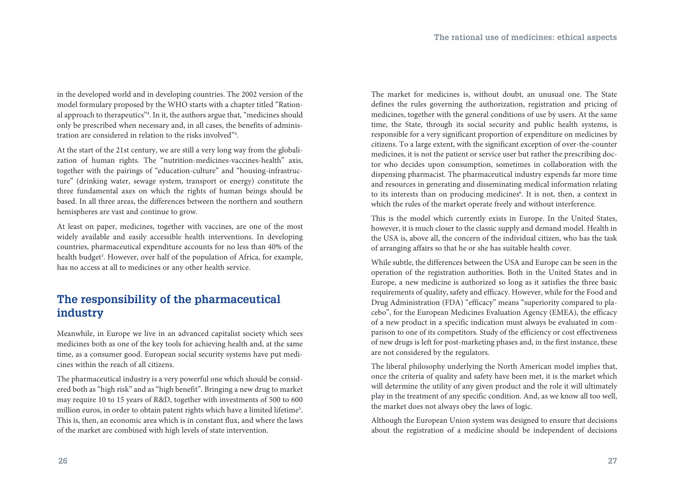in the developed world and in developing countries. The 2002 version of the model formulary proposed by the WHO starts with a chapter titled "Rational approach to therapeutics"4 . In it, the authors argue that, "medicines should only be prescribed when necessary and, in all cases, the benefits of administration are considered in relation to the risks involved"4 .

At the start of the 21st century, we are still a very long way from the globalization of human rights. The "nutrition-medicines-vaccines-health" axis, together with the pairings of "education-culture" and "housing-infrastructure" (drinking water, sewage system, transport or energy) constitute the three fundamental axes on which the rights of human beings should be based. In all three areas, the differences between the northern and southern hemispheres are vast and continue to grow.

At least on paper, medicines, together with vaccines, are one of the most widely available and easily accessible health interventions. In developing countries, pharmaceutical expenditure accounts for no less than 40% of the health budget<sup>3</sup>. However, over half of the population of Africa, for example, has no access at all to medicines or any other health service.

### **The responsibility of the pharmaceutical industry**

Meanwhile, in Europe we live in an advanced capitalist society which sees medicines both as one of the key tools for achieving health and, at the same time, as a consumer good. European social security systems have put medicines within the reach of all citizens.

The pharmaceutical industry is a very powerful one which should be considered both as "high risk" and as "high benefit". Bringing a new drug to market may require 10 to 15 years of R&D, together with investments of 500 to 600 million euros, in order to obtain patent rights which have a limited lifetime<sup>5</sup>. This is, then, an economic area which is in constant flux, and where the laws of the market are combined with high levels of state intervention.

The market for medicines is, without doubt, an unusual one. The State defines the rules governing the authorization, registration and pricing of medicines, together with the general conditions of use by users. At the same time, the State, through its social security and public health systems, is responsible for a very significant proportion of expenditure on medicines by citizens. To a large extent, with the significant exception of over-the-counter medicines, it is not the patient or service user but rather the prescribing doctor who decides upon consumption, sometimes in collaboration with the dispensing pharmacist. The pharmaceutical industry expends far more time and resources in generating and disseminating medical information relating to its interests than on producing medicines<sup>6</sup>. It is not, then, a context in which the rules of the market operate freely and without interference.

This is the model which currently exists in Europe. In the United States, however, it is much closer to the classic supply and demand model. Health in the USA is, above all, the concern of the individual citizen, who has the task of arranging affairs so that he or she has suitable health cover.

While subtle, the differences between the USA and Europe can be seen in the operation of the registration authorities. Both in the United States and in Europe, a new medicine is authorized so long as it satisfies the three basic requirements of quality, safety and efficacy. However, while for the Food and Drug Administration (FDA) "efficacy" means "superiority compared to placebo", for the European Medicines Evaluation Agency (EMEA), the efficacy of a new product in a specific indication must always be evaluated in comparison to one of its competitors. Study of the efficiency or cost effectiveness of new drugs is left for post-marketing phases and, in the first instance, these are not considered by the regulators.

The liberal philosophy underlying the North American model implies that, once the criteria of quality and safety have been met, it is the market which will determine the utility of any given product and the role it will ultimately play in the treatment of any specific condition. And, as we know all too well, the market does not always obey the laws of logic.

Although the European Union system was designed to ensure that decisions about the registration of a medicine should be independent of decisions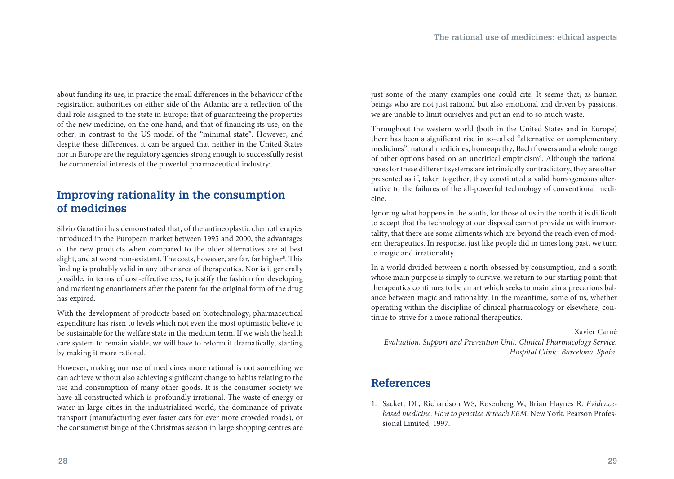about funding its use, in practice the small differences in the behaviour of the registration authorities on either side of the Atlantic are a reflection of the dual role assigned to the state in Europe: that of guaranteeing the properties of the new medicine, on the one hand, and that of financing its use, on the other, in contrast to the US model of the "minimal state". However, and despite these differences, it can be argued that neither in the United States nor in Europe are the regulatory agencies strong enough to successfully resist the commercial interests of the powerful pharmaceutical industry7 .

### **Improving rationality in the consumption of medicines**

Silvio Garattini has demonstrated that, of the antineoplastic chemotherapies introduced in the European market between 1995 and 2000, the advantages of the new products when compared to the older alternatives are at best slight, and at worst non-existent. The costs, however, are far, far higher<sup>s</sup>. This finding is probably valid in any other area of therapeutics. Nor is it generally possible, in terms of cost-effectiveness, to justify the fashion for developing and marketing enantiomers after the patent for the original form of the drug has expired.

With the development of products based on biotechnology, pharmaceutical expenditure has risen to levels which not even the most optimistic believe to be sustainable for the welfare state in the medium term. If we wish the health care system to remain viable, we will have to reform it dramatically, starting by making it more rational.

However, making our use of medicines more rational is not something we can achieve without also achieving significant change to habits relating to the use and consumption of many other goods. It is the consumer society we have all constructed which is profoundly irrational. The waste of energy or water in large cities in the industrialized world, the dominance of private transport (manufacturing ever faster cars for ever more crowded roads), or the consumerist binge of the Christmas season in large shopping centres are

just some of the many examples one could cite. It seems that, as human beings who are not just rational but also emotional and driven by passions, we are unable to limit ourselves and put an end to so much waste.

Throughout the western world (both in the United States and in Europe) there has been a significant rise in so-called "alternative or complementary medicines", natural medicines, homeopathy, Bach flowers and a whole range of other options based on an uncritical empiricism9 . Although the rational bases for these different systems are intrinsically contradictory, they are often presented as if, taken together, they constituted a valid homogeneous alternative to the failures of the all-powerful technology of conventional medicine.

Ignoring what happens in the south, for those of us in the north it is difficult to accept that the technology at our disposal cannot provide us with immortality, that there are some ailments which are beyond the reach even of modern therapeutics. In response, just like people did in times long past, we turn to magic and irrationality.

In a world divided between a north obsessed by consumption, and a south whose main purpose is simply to survive, we return to our starting point: that therapeutics continues to be an art which seeks to maintain a precarious balance between magic and rationality. In the meantime, some of us, whether operating within the discipline of clinical pharmacology or elsewhere, continue to strive for a more rational therapeutics.

Xavier Carné *Evaluation, Support and Prevention Unit. Clinical Pharmacology Service. Hospital Clinic. Barcelona. Spain.*

### **References**

1. Sackett DL, Richardson WS, Rosenberg W, Brian Haynes R. *Evidencebased medicine. How to practice* & *teach EBM*. New York. Pearson Professional Limited, 1997.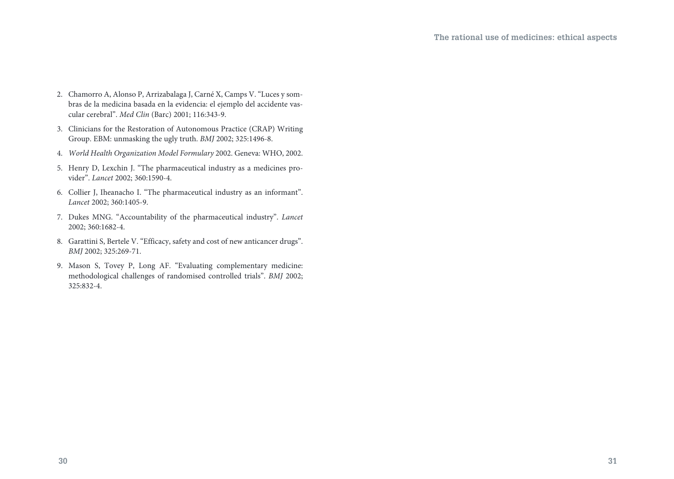- 2. Chamorro A, Alonso P, Arrizabalaga J, Carné X, Camps V. "Luces y sombras de la medicina basada en la evidencia: el ejemplo del accidente vascular cerebral". *Med Clin* (Barc) 2001; 116:343-9.
- 3. Clinicians for the Restoration of Autonomous Practice (CRAP) Writing Group. EBM: unmasking the ugly truth. *BMJ* 2002; 325:1496-8.
- 4. *World Health Organization Model Formulary* 2002. Geneva: WHO, 2002.
- 5. Henry D, Lexchin J. "The pharmaceutical industry as a medicines provider". *Lancet* 2002; 360:1590-4.
- 6. Collier J, Iheanacho I. "The pharmaceutical industry as an informant". *Lancet* 2002; 360:1405-9.
- 7. Dukes MNG. "Accountability of the pharmaceutical industry". *Lancet*  2002; 360:1682-4.
- 8. Garattini S, Bertele V. "Efficacy, safety and cost of new anticancer drugs". *BMJ* 2002; 325:269-71.
- 9. Mason S, Tovey P, Long AF. "Evaluating complementary medicine: methodological challenges of randomised controlled trials". *BMJ* 2002; 325:832-4.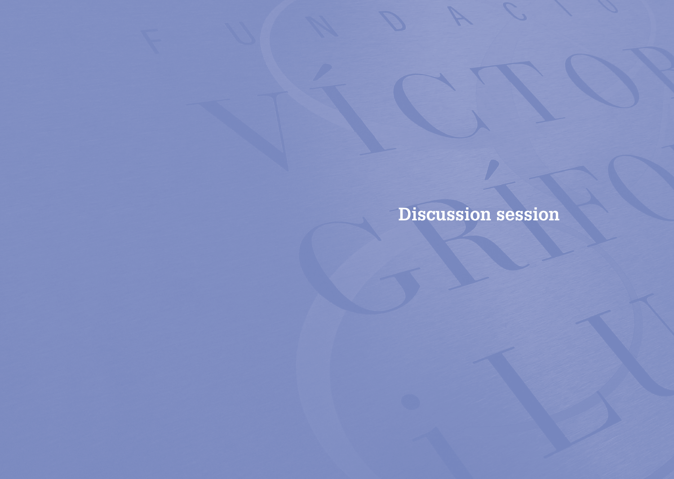**Discussion session**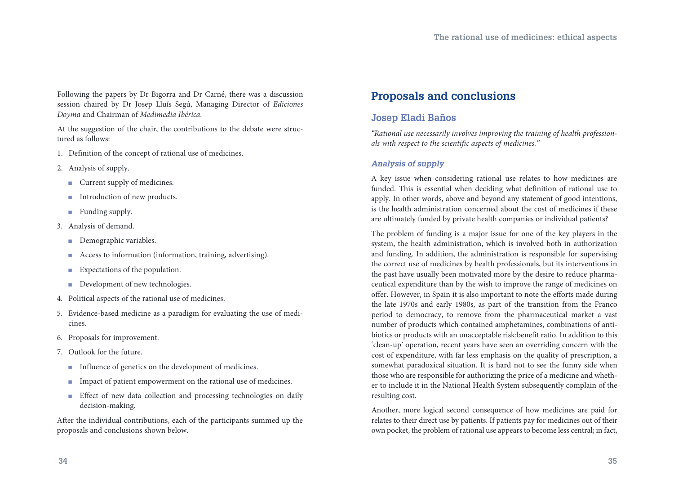Following the papers by Dr Bigorra and Dr Carné, there was a discussion session chaired by Dr Josep Lluís Segú, Managing Director of *Ediciones Doyma* and Chairman of *Medimedia Ibérica*.

At the suggestion of the chair, the contributions to the debate were structured as follows:

- 1. Definition of the concept of rational use of medicines.
- 2. Analysis of supply.
	- $\blacksquare$  Current supply of medicines.
	- $\blacksquare$  Introduction of new products.
	- $\blacksquare$  Funding supply.
- 3. Analysis of demand.
	- Demographic variables.
	- <sup>n</sup> Access to information (information, training, advertising).
	- $\blacksquare$  Expectations of the population.
	- $\blacksquare$  Development of new technologies.
- 4. Political aspects of the rational use of medicines.
- 5. Evidence-based medicine as a paradigm for evaluating the use of medicines.
- 6. Proposals for improvement.
- 7. Outlook for the future.
	- n Influence of genetics on the development of medicines.
	- n Impact of patient empowerment on the rational use of medicines.
	- Effect of new data collection and processing technologies on daily decision-making.

After the individual contributions, each of the participants summed up the proposals and conclusions shown below.

### **Proposals and conclusions**

#### **Josep Eladi Baños**

*"Rational use necessarily involves improving the training of health professionals with respect to the scientific aspects of medicines."*

#### *Analysis of supply*

A key issue when considering rational use relates to how medicines are funded. This is essential when deciding what definition of rational use to apply. In other words, above and beyond any statement of good intentions, is the health administration concerned about the cost of medicines if these are ultimately funded by private health companies or individual patients?

The problem of funding is a major issue for one of the key players in the system, the health administration, which is involved both in authorization and funding. In addition, the administration is responsible for supervising the correct use of medicines by health professionals, but its interventions in the past have usually been motivated more by the desire to reduce pharmaceutical expenditure than by the wish to improve the range of medicines on offer. However, in Spain it is also important to note the efforts made during the late 1970s and early 1980s, as part of the transition from the Franco period to democracy, to remove from the pharmaceutical market a vast number of products which contained amphetamines, combinations of antibiotics or products with an unacceptable risk:benefit ratio. In addition to this 'clean-up' operation, recent years have seen an overriding concern with the cost of expenditure, with far less emphasis on the quality of prescription, a somewhat paradoxical situation. It is hard not to see the funny side when those who are responsible for authorizing the price of a medicine and whether to include it in the National Health System subsequently complain of the resulting cost.

Another, more logical second consequence of how medicines are paid for relates to their direct use by patients. If patients pay for medicines out of their own pocket, the problem of rational use appears to become less central; in fact,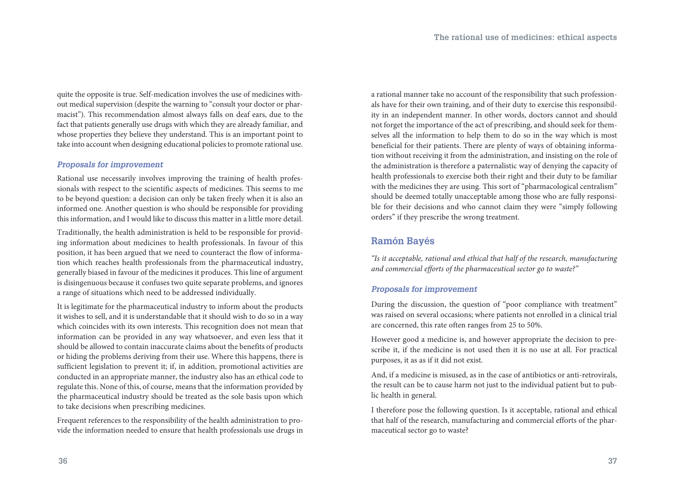quite the opposite is true. Self-medication involves the use of medicines without medical supervision (despite the warning to "consult your doctor or pharmacist"). This recommendation almost always falls on deaf ears, due to the fact that patients generally use drugs with which they are already familiar, and whose properties they believe they understand. This is an important point to take into account when designing educational policies to promote rational use.

#### *Proposals for improvement*

Rational use necessarily involves improving the training of health professionals with respect to the scientific aspects of medicines. This seems to me to be beyond question: a decision can only be taken freely when it is also an informed one. Another question is who should be responsible for providing this information, and I would like to discuss this matter in a little more detail.

Traditionally, the health administration is held to be responsible for providing information about medicines to health professionals. In favour of this position, it has been argued that we need to counteract the flow of information which reaches health professionals from the pharmaceutical industry, generally biased in favour of the medicines it produces. This line of argument is disingenuous because it confuses two quite separate problems, and ignores a range of situations which need to be addressed individually.

It is legitimate for the pharmaceutical industry to inform about the products it wishes to sell, and it is understandable that it should wish to do so in a way which coincides with its own interests. This recognition does not mean that information can be provided in any way whatsoever, and even less that it should be allowed to contain inaccurate claims about the benefits of products or hiding the problems deriving from their use. Where this happens, there is sufficient legislation to prevent it; if, in addition, promotional activities are conducted in an appropriate manner, the industry also has an ethical code to regulate this. None of this, of course, means that the information provided by the pharmaceutical industry should be treated as the sole basis upon which to take decisions when prescribing medicines.

Frequent references to the responsibility of the health administration to provide the information needed to ensure that health professionals use drugs in a rational manner take no account of the responsibility that such professionals have for their own training, and of their duty to exercise this responsibility in an independent manner. In other words, doctors cannot and should not forget the importance of the act of prescribing, and should seek for themselves all the information to help them to do so in the way which is most beneficial for their patients. There are plenty of ways of obtaining information without receiving it from the administration, and insisting on the role of the administration is therefore a paternalistic way of denying the capacity of health professionals to exercise both their right and their duty to be familiar with the medicines they are using. This sort of "pharmacological centralism" should be deemed totally unacceptable among those who are fully responsible for their decisions and who cannot claim they were "simply following orders" if they prescribe the wrong treatment.

### **Ramón Bayés**

*"Is it acceptable, rational and ethical that half of the research, manufacturing and commercial efforts of the pharmaceutical sector go to waste?"*

#### *Proposals for improvement*

During the discussion, the question of "poor compliance with treatment" was raised on several occasions; where patients not enrolled in a clinical trial are concerned, this rate often ranges from 25 to 50%.

However good a medicine is, and however appropriate the decision to prescribe it, if the medicine is not used then it is no use at all. For practical purposes, it as as if it did not exist.

And, if a medicine is misused, as in the case of antibiotics or anti-retrovirals, the result can be to cause harm not just to the individual patient but to public health in general.

I therefore pose the following question. Is it acceptable, rational and ethical that half of the research, manufacturing and commercial efforts of the pharmaceutical sector go to waste?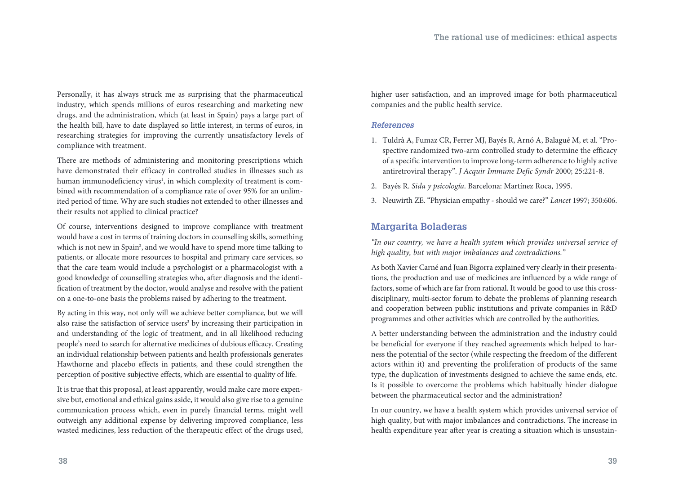Personally, it has always struck me as surprising that the pharmaceutical industry, which spends millions of euros researching and marketing new drugs, and the administration, which (at least in Spain) pays a large part of the health bill, have to date displayed so little interest, in terms of euros, in researching strategies for improving the currently unsatisfactory levels of compliance with treatment.

There are methods of administering and monitoring prescriptions which have demonstrated their efficacy in controlled studies in illnesses such as human immunodeficiency virus<sup>1</sup>, in which complexity of treatment is combined with recommendation of a compliance rate of over 95% for an unlimited period of time. Why are such studies not extended to other illnesses and their results not applied to clinical practice?

Of course, interventions designed to improve compliance with treatment would have a cost in terms of training doctors in counselling skills, something which is not new in Spain<sup>2</sup>, and we would have to spend more time talking to patients, or allocate more resources to hospital and primary care services, so that the care team would include a psychologist or a pharmacologist with a good knowledge of counselling strategies who, after diagnosis and the identification of treatment by the doctor, would analyse and resolve with the patient on a one-to-one basis the problems raised by adhering to the treatment.

By acting in this way, not only will we achieve better compliance, but we will also raise the satisfaction of service users<sup>3</sup> by increasing their participation in and understanding of the logic of treatment, and in all likelihood reducing people's need to search for alternative medicines of dubious efficacy. Creating an individual relationship between patients and health professionals generates Hawthorne and placebo effects in patients, and these could strengthen the perception of positive subjective effects, which are essential to quality of life.

It is true that this proposal, at least apparently, would make care more expensive but, emotional and ethical gains aside, it would also give rise to a genuine communication process which, even in purely financial terms, might well outweigh any additional expense by delivering improved compliance, less wasted medicines, less reduction of the therapeutic effect of the drugs used,

higher user satisfaction, and an improved image for both pharmaceutical companies and the public health service.

#### *References*

- 1. Tuldrà A, Fumaz CR, Ferrer MJ, Bayés R, Arnó A, Balagué M, et al. "Prospective randomized two-arm controlled study to determine the efficacy of a specific intervention to improve long-term adherence to highly active antiretroviral therapy". *J Acquir Immune Defic Syndr* 2000; 25:221-8.
- 2. Bayés R. *Sida y psicología*. Barcelona: Martínez Roca, 1995.
- 3. Neuwirth ZE. "Physician empathy should we care?" *Lancet* 1997; 350:606.

### **Margarita Boladeras**

*"In our country, we have a health system which provides universal service of high quality, but with major imbalances and contradictions."*

As both Xavier Carné and Juan Bigorra explained very clearly in their presentations, the production and use of medicines are influenced by a wide range of factors, some of which are far from rational. It would be good to use this crossdisciplinary, multi-sector forum to debate the problems of planning research and cooperation between public institutions and private companies in R&D programmes and other activities which are controlled by the authorities.

A better understanding between the administration and the industry could be beneficial for everyone if they reached agreements which helped to harness the potential of the sector (while respecting the freedom of the different actors within it) and preventing the proliferation of products of the same type, the duplication of investments designed to achieve the same ends, etc. Is it possible to overcome the problems which habitually hinder dialogue between the pharmaceutical sector and the administration?

In our country, we have a health system which provides universal service of high quality, but with major imbalances and contradictions. The increase in health expenditure year after year is creating a situation which is unsustain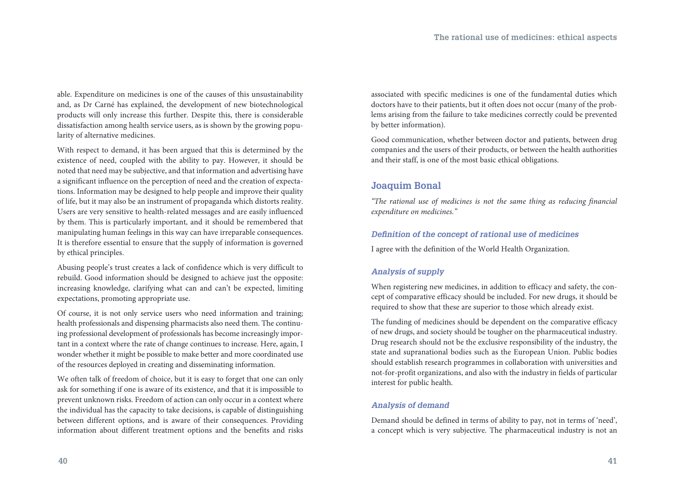able. Expenditure on medicines is one of the causes of this unsustainability and, as Dr Carné has explained, the development of new biotechnological products will only increase this further. Despite this, there is considerable dissatisfaction among health service users, as is shown by the growing popularity of alternative medicines.

With respect to demand, it has been argued that this is determined by the existence of need, coupled with the ability to pay. However, it should be noted that need may be subjective, and that information and advertising have a significant influence on the perception of need and the creation of expectations. Information may be designed to help people and improve their quality of life, but it may also be an instrument of propaganda which distorts reality. Users are very sensitive to health-related messages and are easily influenced by them. This is particularly important, and it should be remembered that manipulating human feelings in this way can have irreparable consequences. It is therefore essential to ensure that the supply of information is governed by ethical principles.

Abusing people's trust creates a lack of confidence which is very difficult to rebuild. Good information should be designed to achieve just the opposite: increasing knowledge, clarifying what can and can't be expected, limiting expectations, promoting appropriate use.

Of course, it is not only service users who need information and training; health professionals and dispensing pharmacists also need them. The continuing professional development of professionals has become increasingly important in a context where the rate of change continues to increase. Here, again, I wonder whether it might be possible to make better and more coordinated use of the resources deployed in creating and disseminating information.

We often talk of freedom of choice, but it is easy to forget that one can only ask for something if one is aware of its existence, and that it is impossible to prevent unknown risks. Freedom of action can only occur in a context where the individual has the capacity to take decisions, is capable of distinguishing between different options, and is aware of their consequences. Providing information about different treatment options and the benefits and risks

associated with specific medicines is one of the fundamental duties which doctors have to their patients, but it often does not occur (many of the problems arising from the failure to take medicines correctly could be prevented by better information).

Good communication, whether between doctor and patients, between drug companies and the users of their products, or between the health authorities and their staff, is one of the most basic ethical obligations.

#### **Joaquim Bonal**

*"The rational use of medicines is not the same thing as reducing financial expenditure on medicines."*

#### *Definition of the concept of rational use of medicines*

I agree with the definition of the World Health Organization.

#### *Analysis of supply*

When registering new medicines, in addition to efficacy and safety, the concept of comparative efficacy should be included. For new drugs, it should be required to show that these are superior to those which already exist.

The funding of medicines should be dependent on the comparative efficacy of new drugs, and society should be tougher on the pharmaceutical industry. Drug research should not be the exclusive responsibility of the industry, the state and supranational bodies such as the European Union. Public bodies should establish research programmes in collaboration with universities and not-for-profit organizations, and also with the industry in fields of particular interest for public health.

#### *Analysis of demand*

Demand should be defined in terms of ability to pay, not in terms of 'need', a concept which is very subjective. The pharmaceutical industry is not an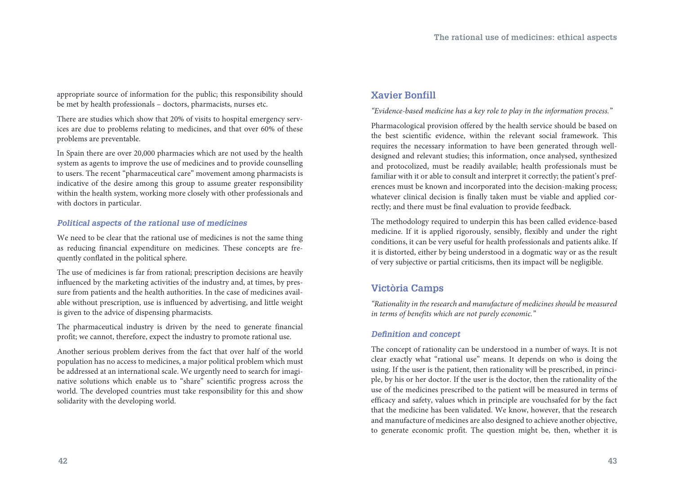appropriate source of information for the public; this responsibility should be met by health professionals – doctors, pharmacists, nurses etc.

There are studies which show that 20% of visits to hospital emergency services are due to problems relating to medicines, and that over 60% of these problems are preventable.

In Spain there are over 20,000 pharmacies which are not used by the health system as agents to improve the use of medicines and to provide counselling to users. The recent "pharmaceutical care" movement among pharmacists is indicative of the desire among this group to assume greater responsibility within the health system, working more closely with other professionals and with doctors in particular.

#### *Political aspects of the rational use of medicines*

We need to be clear that the rational use of medicines is not the same thing as reducing financial expenditure on medicines. These concepts are frequently conflated in the political sphere.

The use of medicines is far from rational; prescription decisions are heavily influenced by the marketing activities of the industry and, at times, by pressure from patients and the health authorities. In the case of medicines available without prescription, use is influenced by advertising, and little weight is given to the advice of dispensing pharmacists.

The pharmaceutical industry is driven by the need to generate financial profit; we cannot, therefore, expect the industry to promote rational use.

Another serious problem derives from the fact that over half of the world population has no access to medicines, a major political problem which must be addressed at an international scale. We urgently need to search for imaginative solutions which enable us to "share" scientific progress across the world. The developed countries must take responsibility for this and show solidarity with the developing world.

### **Xavier Bonfill**

#### *"Evidence-based medicine has a key role to play in the information process."*

Pharmacological provision offered by the health service should be based on the best scientific evidence, within the relevant social framework. This requires the necessary information to have been generated through welldesigned and relevant studies; this information, once analysed, synthesized and protocolized, must be readily available; health professionals must be familiar with it or able to consult and interpret it correctly; the patient's preferences must be known and incorporated into the decision-making process; whatever clinical decision is finally taken must be viable and applied correctly; and there must be final evaluation to provide feedback.

The methodology required to underpin this has been called evidence-based medicine. If it is applied rigorously, sensibly, flexibly and under the right conditions, it can be very useful for health professionals and patients alike. If it is distorted, either by being understood in a dogmatic way or as the result of very subjective or partial criticisms, then its impact will be negligible.

### **Victòria Camps**

*"Rationality in the research and manufacture of medicines should be measured in terms of benefits which are not purely economic."*

#### *Definition and concept*

The concept of rationality can be understood in a number of ways. It is not clear exactly what "rational use" means. It depends on who is doing the using. If the user is the patient, then rationality will be prescribed, in principle, by his or her doctor. If the user is the doctor, then the rationality of the use of the medicines prescribed to the patient will be measured in terms of efficacy and safety, values which in principle are vouchsafed for by the fact that the medicine has been validated. We know, however, that the research and manufacture of medicines are also designed to achieve another objective, to generate economic profit. The question might be, then, whether it is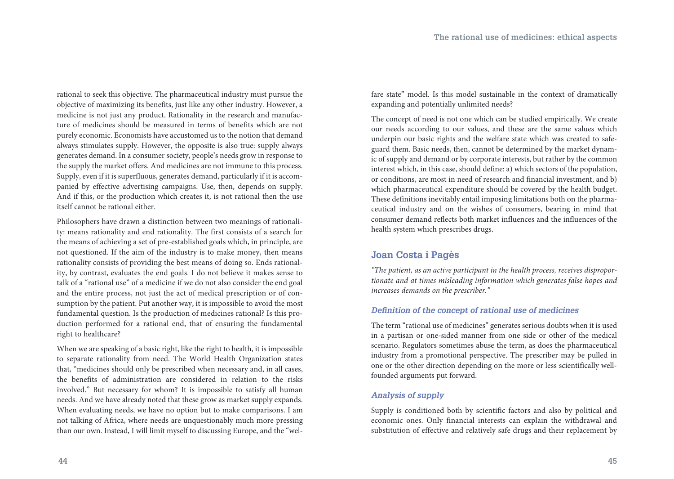rational to seek this objective. The pharmaceutical industry must pursue the objective of maximizing its benefits, just like any other industry. However, a medicine is not just any product. Rationality in the research and manufacture of medicines should be measured in terms of benefits which are not purely economic. Economists have accustomed us to the notion that demand always stimulates supply. However, the opposite is also true: supply always generates demand. In a consumer society, people's needs grow in response to the supply the market offers. And medicines are not immune to this process. Supply, even if it is superfluous, generates demand, particularly if it is accompanied by effective advertising campaigns. Use, then, depends on supply. And if this, or the production which creates it, is not rational then the use itself cannot be rational either.

Philosophers have drawn a distinction between two meanings of rationality: means rationality and end rationality. The first consists of a search for the means of achieving a set of pre-established goals which, in principle, are not questioned. If the aim of the industry is to make money, then means rationality consists of providing the best means of doing so. Ends rationality, by contrast, evaluates the end goals. I do not believe it makes sense to talk of a "rational use" of a medicine if we do not also consider the end goal and the entire process, not just the act of medical prescription or of consumption by the patient. Put another way, it is impossible to avoid the most fundamental question. Is the production of medicines rational? Is this production performed for a rational end, that of ensuring the fundamental right to healthcare?

When we are speaking of a basic right, like the right to health, it is impossible to separate rationality from need. The World Health Organization states that, "medicines should only be prescribed when necessary and, in all cases, the benefits of administration are considered in relation to the risks involved." But necessary for whom? It is impossible to satisfy all human needs. And we have already noted that these grow as market supply expands. When evaluating needs, we have no option but to make comparisons. I am not talking of Africa, where needs are unquestionably much more pressing than our own. Instead, I will limit myself to discussing Europe, and the "welfare state" model. Is this model sustainable in the context of dramatically expanding and potentially unlimited needs?

The concept of need is not one which can be studied empirically. We create our needs according to our values, and these are the same values which underpin our basic rights and the welfare state which was created to safeguard them. Basic needs, then, cannot be determined by the market dynamic of supply and demand or by corporate interests, but rather by the common interest which, in this case, should define: a) which sectors of the population, or conditions, are most in need of research and financial investment, and b) which pharmaceutical expenditure should be covered by the health budget. These definitions inevitably entail imposing limitations both on the pharmaceutical industry and on the wishes of consumers, bearing in mind that consumer demand reflects both market influences and the influences of the health system which prescribes drugs.

#### **Joan Costa i Pagès**

*"The patient, as an active participant in the health process, receives disproportionate and at times misleading information which generates false hopes and increases demands on the prescriber."*

#### *Definition of the concept of rational use of medicines*

The term "rational use of medicines" generates serious doubts when it is used in a partisan or one-sided manner from one side or other of the medical scenario. Regulators sometimes abuse the term, as does the pharmaceutical industry from a promotional perspective. The prescriber may be pulled in one or the other direction depending on the more or less scientifically wellfounded arguments put forward.

#### *Analysis of supply*

Supply is conditioned both by scientific factors and also by political and economic ones. Only financial interests can explain the withdrawal and substitution of effective and relatively safe drugs and their replacement by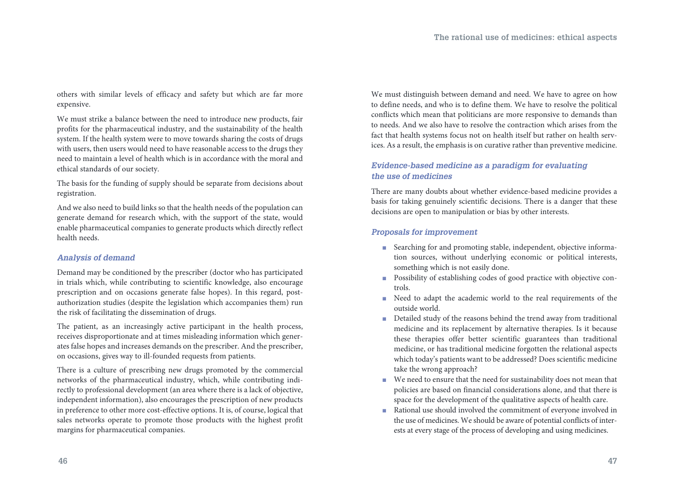others with similar levels of efficacy and safety but which are far more expensive.

We must strike a balance between the need to introduce new products, fair profits for the pharmaceutical industry, and the sustainability of the health system. If the health system were to move towards sharing the costs of drugs with users, then users would need to have reasonable access to the drugs they need to maintain a level of health which is in accordance with the moral and ethical standards of our society.

The basis for the funding of supply should be separate from decisions about registration.

And we also need to build links so that the health needs of the population can generate demand for research which, with the support of the state, would enable pharmaceutical companies to generate products which directly reflect health needs.

#### *Analysis of demand*

Demand may be conditioned by the prescriber (doctor who has participated in trials which, while contributing to scientific knowledge, also encourage prescription and on occasions generate false hopes). In this regard, postauthorization studies (despite the legislation which accompanies them) run the risk of facilitating the dissemination of drugs.

The patient, as an increasingly active participant in the health process, receives disproportionate and at times misleading information which generates false hopes and increases demands on the prescriber. And the prescriber, on occasions, gives way to ill-founded requests from patients.

There is a culture of prescribing new drugs promoted by the commercial networks of the pharmaceutical industry, which, while contributing indirectly to professional development (an area where there is a lack of objective, independent information), also encourages the prescription of new products in preference to other more cost-effective options. It is, of course, logical that sales networks operate to promote those products with the highest profit margins for pharmaceutical companies.

We must distinguish between demand and need. We have to agree on how to define needs, and who is to define them. We have to resolve the political conflicts which mean that politicians are more responsive to demands than to needs. And we also have to resolve the contraction which arises from the fact that health systems focus not on health itself but rather on health services. As a result, the emphasis is on curative rather than preventive medicine.

#### *Evidence-based medicine as a paradigm for evaluating the use of medicines*

There are many doubts about whether evidence-based medicine provides a basis for taking genuinely scientific decisions. There is a danger that these decisions are open to manipulation or bias by other interests.

#### *Proposals for improvement*

- Searching for and promoting stable, independent, objective information sources, without underlying economic or political interests, something which is not easily done.
- **Possibility of establishing codes of good practice with objective con**trols.
- **n** Need to adapt the academic world to the real requirements of the outside world.
- Detailed study of the reasons behind the trend away from traditional medicine and its replacement by alternative therapies. Is it because these therapies offer better scientific guarantees than traditional medicine, or has traditional medicine forgotten the relational aspects which today's patients want to be addressed? Does scientific medicine take the wrong approach?
- We need to ensure that the need for sustainability does not mean that policies are based on financial considerations alone, and that there is space for the development of the qualitative aspects of health care.
- **n** Rational use should involved the commitment of everyone involved in the use of medicines. We should be aware of potential conflicts of interests at every stage of the process of developing and using medicines.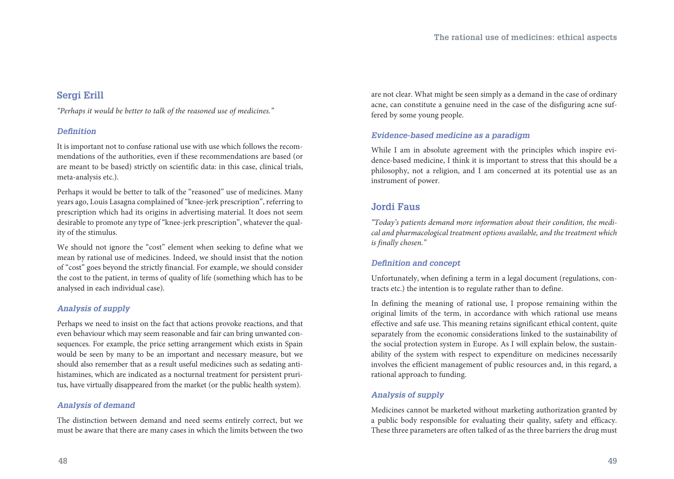### **Sergi Erill**

*"Perhaps it would be better to talk of the reasoned use of medicines."*

#### *Definition*

It is important not to confuse rational use with use which follows the recommendations of the authorities, even if these recommendations are based (or are meant to be based) strictly on scientific data: in this case, clinical trials, meta-analysis etc.).

Perhaps it would be better to talk of the "reasoned" use of medicines. Many years ago, Louis Lasagna complained of "knee-jerk prescription", referring to prescription which had its origins in advertising material. It does not seem desirable to promote any type of "knee-jerk prescription", whatever the quality of the stimulus.

We should not ignore the "cost" element when seeking to define what we mean by rational use of medicines. Indeed, we should insist that the notion of "cost" goes beyond the strictly financial. For example, we should consider the cost to the patient, in terms of quality of life (something which has to be analysed in each individual case).

#### *Analysis of supply*

Perhaps we need to insist on the fact that actions provoke reactions, and that even behaviour which may seem reasonable and fair can bring unwanted consequences. For example, the price setting arrangement which exists in Spain would be seen by many to be an important and necessary measure, but we should also remember that as a result useful medicines such as sedating antihistamines, which are indicated as a nocturnal treatment for persistent pruritus, have virtually disappeared from the market (or the public health system).

#### *Analysis of demand*

The distinction between demand and need seems entirely correct, but we must be aware that there are many cases in which the limits between the two are not clear. What might be seen simply as a demand in the case of ordinary acne, can constitute a genuine need in the case of the disfiguring acne suffered by some young people.

#### *Evidence-based medicine as a paradigm*

While I am in absolute agreement with the principles which inspire evidence-based medicine, I think it is important to stress that this should be a philosophy, not a religion, and I am concerned at its potential use as an instrument of power.

### **Jordi Faus**

*"Today's patients demand more information about their condition, the medical and pharmacological treatment options available, and the treatment which is finally chosen."*

#### *Definition and concept*

Unfortunately, when defining a term in a legal document (regulations, contracts etc.) the intention is to regulate rather than to define.

In defining the meaning of rational use, I propose remaining within the original limits of the term, in accordance with which rational use means effective and safe use. This meaning retains significant ethical content, quite separately from the economic considerations linked to the sustainability of the social protection system in Europe. As I will explain below, the sustainability of the system with respect to expenditure on medicines necessarily involves the efficient management of public resources and, in this regard, a rational approach to funding.

#### *Analysis of supply*

Medicines cannot be marketed without marketing authorization granted by a public body responsible for evaluating their quality, safety and efficacy. These three parameters are often talked of as the three barriers the drug must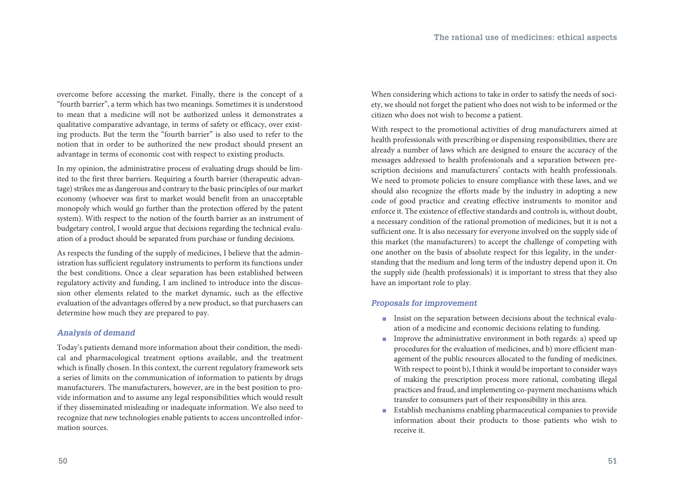overcome before accessing the market. Finally, there is the concept of a "fourth barrier", a term which has two meanings. Sometimes it is understood to mean that a medicine will not be authorized unless it demonstrates a qualitative comparative advantage, in terms of safety or efficacy, over existing products. But the term the "fourth barrier" is also used to refer to the notion that in order to be authorized the new product should present an advantage in terms of economic cost with respect to existing products.

In my opinion, the administrative process of evaluating drugs should be limited to the first three barriers. Requiring a fourth barrier (therapeutic advantage) strikes me as dangerous and contrary to the basic principles of our market economy (whoever was first to market would benefit from an unacceptable monopoly which would go further than the protection offered by the patent system). With respect to the notion of the fourth barrier as an instrument of budgetary control, I would argue that decisions regarding the technical evaluation of a product should be separated from purchase or funding decisions.

As respects the funding of the supply of medicines, I believe that the administration has sufficient regulatory instruments to perform its functions under the best conditions. Once a clear separation has been established between regulatory activity and funding, I am inclined to introduce into the discussion other elements related to the market dynamic, such as the effective evaluation of the advantages offered by a new product, so that purchasers can determine how much they are prepared to pay.

#### *Analysis of demand*

Today's patients demand more information about their condition, the medical and pharmacological treatment options available, and the treatment which is finally chosen. In this context, the current regulatory framework sets a series of limits on the communication of information to patients by drugs manufacturers. The manufacturers, however, are in the best position to provide information and to assume any legal responsibilities which would result if they disseminated misleading or inadequate information. We also need to recognize that new technologies enable patients to access uncontrolled information sources.

When considering which actions to take in order to satisfy the needs of society, we should not forget the patient who does not wish to be informed or the citizen who does not wish to become a patient.

With respect to the promotional activities of drug manufacturers aimed at health professionals with prescribing or dispensing responsibilities, there are already a number of laws which are designed to ensure the accuracy of the messages addressed to health professionals and a separation between prescription decisions and manufacturers' contacts with health professionals. We need to promote policies to ensure compliance with these laws, and we should also recognize the efforts made by the industry in adopting a new code of good practice and creating effective instruments to monitor and enforce it. The existence of effective standards and controls is, without doubt, a necessary condition of the rational promotion of medicines, but it is not a sufficient one. It is also necessary for everyone involved on the supply side of this market (the manufacturers) to accept the challenge of competing with one another on the basis of absolute respect for this legality, in the understanding that the medium and long term of the industry depend upon it. On the supply side (health professionals) it is important to stress that they also have an important role to play.

#### *Proposals for improvement*

- nical contracts in the separation between decisions about the technical evaluation of a medicine and economic decisions relating to funding.
- **n** Improve the administrative environment in both regards: a) speed up procedures for the evaluation of medicines, and b) more efficient management of the public resources allocated to the funding of medicines. With respect to point b), I think it would be important to consider ways of making the prescription process more rational, combating illegal practices and fraud, and implementing co-payment mechanisms which transfer to consumers part of their responsibility in this area.
- **Establish mechanisms enabling pharmaceutical companies to provide** information about their products to those patients who wish to receive it.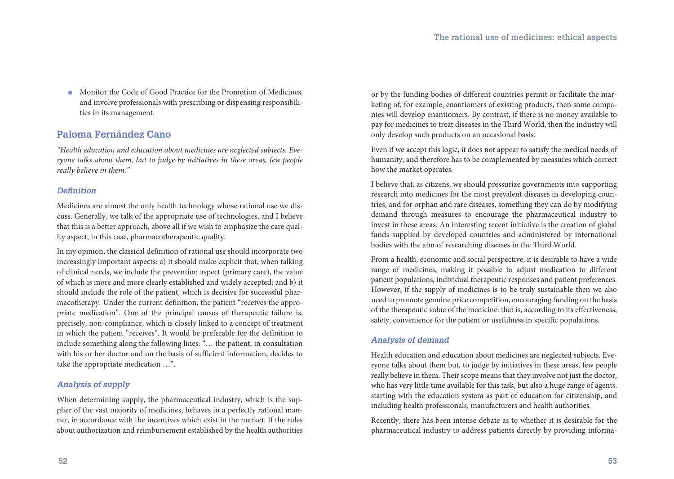■ Monitor the Code of Good Practice for the Promotion of Medicines, and involve professionals with prescribing or dispensing responsibilities in its management.

### **Paloma Fernández Cano**

*"Health education and education about medicines are neglected subjects. Everyone talks about them, but to judge by initiatives in these areas, few people really believe in them."*

#### *Definition*

Medicines are almost the only health technology whose rational use we discuss. Generally, we talk of the appropriate use of technologies, and I believe that this is a better approach, above all if we wish to emphasize the care quality aspect, in this case, pharmacotherapeutic quality.

In my opinion, the classical definition of rational use should incorporate two increasingly important aspects: a) it should make explicit that, when talking of clinical needs, we include the prevention aspect (primary care), the value of which is more and more clearly established and widely accepted; and b) it should include the role of the patient, which is decisive for successful pharmacotherapy. Under the current definition, the patient "receives the appropriate medication". One of the principal causes of therapeutic failure is, precisely, non-compliance, which is closely linked to a concept of treatment in which the patient "receives". It would be preferable for the definition to include something along the following lines: "… the patient, in consultation with his or her doctor and on the basis of sufficient information, decides to take the appropriate medication …".

#### *Analysis of supply*

When determining supply, the pharmaceutical industry, which is the supplier of the vast majority of medicines, behaves in a perfectly rational manner, in accordance with the incentives which exist in the market. If the rules about authorization and reimbursement established by the health authorities or by the funding bodies of different countries permit or facilitate the marketing of, for example, enantiomers of existing products, then some companies will develop enantiomers. By contrast, if there is no money available to pay for medicines to treat diseases in the Third World, then the industry will only develop such products on an occasional basis.

Even if we accept this logic, it does not appear to satisfy the medical needs of humanity, and therefore has to be complemented by measures which correct how the market operates.

I believe that, as citizens, we should pressurize governments into supporting research into medicines for the most prevalent diseases in developing countries, and for orphan and rare diseases, something they can do by modifying demand through measures to encourage the pharmaceutical industry to invest in these areas. An interesting recent initiative is the creation of global funds supplied by developed countries and administered by international bodies with the aim of researching diseases in the Third World.

From a health, economic and social perspective, it is desirable to have a wide range of medicines, making it possible to adjust medication to different patient populations, individual therapeutic responses and patient preferences. However, if the supply of medicines is to be truly sustainable then we also need to promote genuine price competition, encouraging funding on the basis of the therapeutic value of the medicine: that is, according to its effectiveness, safety, convenience for the patient or usefulness in specific populations.

#### *Analysis of demand*

Health education and education about medicines are neglected subjects. Everyone talks about them but, to judge by initiatives in these areas, few people really believe in them. Their scope means that they involve not just the doctor, who has very little time available for this task, but also a huge range of agents, starting with the education system as part of education for citizenship, and including health professionals, manufacturers and health authorities.

Recently, there has been intense debate as to whether it is desirable for the pharmaceutical industry to address patients directly by providing informa-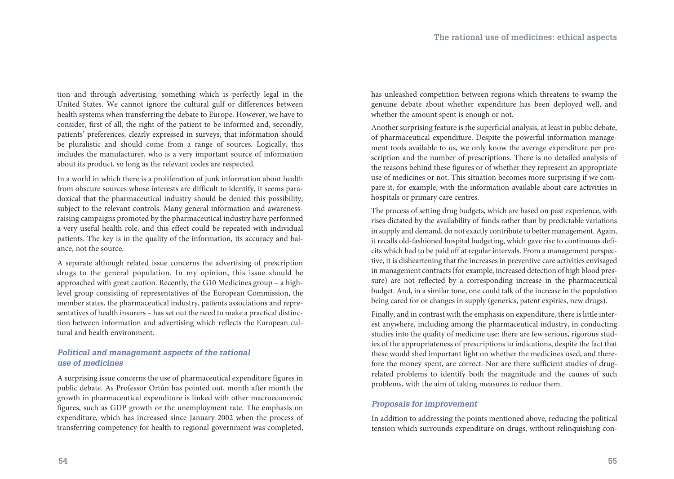tion and through advertising, something which is perfectly legal in the United States. We cannot ignore the cultural gulf or differences between health systems when transferring the debate to Europe. However, we have to consider, first of all, the right of the patient to be informed and, secondly, patients' preferences, clearly expressed in surveys, that information should be pluralistic and should come from a range of sources. Logically, this includes the manufacturer, who is a very important source of information about its product, so long as the relevant codes are respected.

In a world in which there is a proliferation of junk information about health from obscure sources whose interests are difficult to identify, it seems paradoxical that the pharmaceutical industry should be denied this possibility, subject to the relevant controls. Many general information and awarenessraising campaigns promoted by the pharmaceutical industry have performed a very useful health role, and this effect could be repeated with individual patients. The key is in the quality of the information, its accuracy and balance, not the source.

A separate although related issue concerns the advertising of prescription drugs to the general population. In my opinion, this issue should be approached with great caution. Recently, the G10 Medicines group – a highlevel group consisting of representatives of the European Commission, the member states, the pharmaceutical industry, patients associations and representatives of health insurers – has set out the need to make a practical distinction between information and advertising which reflects the European cultural and health environment.

#### *Political and management aspects of the rational use of medicines*

A surprising issue concerns the use of pharmaceutical expenditure figures in public debate. As Professor Ortún has pointed out, month after month the growth in pharmaceutical expenditure is linked with other macroeconomic figures, such as GDP growth or the unemployment rate. The emphasis on expenditure, which has increased since January 2002 when the process of transferring competency for health to regional government was completed,

has unleashed competition between regions which threatens to swamp the genuine debate about whether expenditure has been deployed well, and whether the amount spent is enough or not.

Another surprising feature is the superficial analysis, at least in public debate, of pharmaceutical expenditure. Despite the powerful information management tools available to us, we only know the average expenditure per prescription and the number of prescriptions. There is no detailed analysis of the reasons behind these figures or of whether they represent an appropriate use of medicines or not. This situation becomes more surprising if we compare it, for example, with the information available about care activities in hospitals or primary care centres.

The process of setting drug budgets, which are based on past experience, with rises dictated by the availability of funds rather than by predictable variations in supply and demand, do not exactly contribute to better management. Again, it recalls old-fashioned hospital budgeting, which gave rise to continuous deficits which had to be paid off at regular intervals. From a management perspective, it is disheartening that the increases in preventive care activities envisaged in management contracts (for example, increased detection of high blood pressure) are not reflected by a corresponding increase in the pharmaceutical budget. And, in a similar tone, one could talk of the increase in the population being cared for or changes in supply (generics, patent expiries, new drugs).

Finally, and in contrast with the emphasis on expenditure, there is little interest anywhere, including among the pharmaceutical industry, in conducting studies into the quality of medicine use: there are few serious, rigorous studies of the appropriateness of prescriptions to indications, despite the fact that these would shed important light on whether the medicines used, and therefore the money spent, are correct. Nor are there sufficient studies of drugrelated problems to identify both the magnitude and the causes of such problems, with the aim of taking measures to reduce them.

#### *Proposals for improvement*

In addition to addressing the points mentioned above, reducing the political tension which surrounds expenditure on drugs, without relinquishing con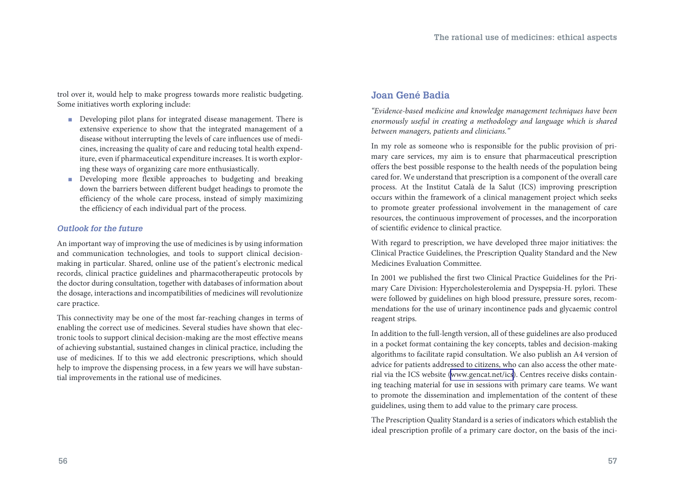trol over it, would help to make progress towards more realistic budgeting. Some initiatives worth exploring include:

- **n** Developing pilot plans for integrated disease management. There is extensive experience to show that the integrated management of a disease without interrupting the levels of care influences use of medicines, increasing the quality of care and reducing total health expenditure, even if pharmaceutical expenditure increases. It is worth exploring these ways of organizing care more enthusiastically.
- Developing more flexible approaches to budgeting and breaking down the barriers between different budget headings to promote the efficiency of the whole care process, instead of simply maximizing the efficiency of each individual part of the process.

#### *Outlook for the future*

An important way of improving the use of medicines is by using information and communication technologies, and tools to support clinical decisionmaking in particular. Shared, online use of the patient's electronic medical records, clinical practice guidelines and pharmacotherapeutic protocols by the doctor during consultation, together with databases of information about the dosage, interactions and incompatibilities of medicines will revolutionize care practice.

This connectivity may be one of the most far-reaching changes in terms of enabling the correct use of medicines. Several studies have shown that electronic tools to support clinical decision-making are the most effective means of achieving substantial, sustained changes in clinical practice, including the use of medicines. If to this we add electronic prescriptions, which should help to improve the dispensing process, in a few years we will have substantial improvements in the rational use of medicines.

### **Joan Gené Badia**

*"Evidence-based medicine and knowledge management techniques have been enormously useful in creating a methodology and language which is shared between managers, patients and clinicians."*

In my role as someone who is responsible for the public provision of primary care services, my aim is to ensure that pharmaceutical prescription offers the best possible response to the health needs of the population being cared for. We understand that prescription is a component of the overall care process. At the Institut Català de la Salut (ICS) improving prescription occurs within the framework of a clinical management project which seeks to promote greater professional involvement in the management of care resources, the continuous improvement of processes, and the incorporation of scientific evidence to clinical practice.

With regard to prescription, we have developed three major initiatives: the Clinical Practice Guidelines, the Prescription Quality Standard and the New Medicines Evaluation Committee.

In 2001 we published the first two Clinical Practice Guidelines for the Primary Care Division: Hypercholesterolemia and Dyspepsia-H. pylori. These were followed by guidelines on high blood pressure, pressure sores, recommendations for the use of urinary incontinence pads and glycaemic control reagent strips.

In addition to the full-length version, all of these guidelines are also produced in a pocket format containing the key concepts, tables and decision-making algorithms to facilitate rapid consultation. We also publish an A4 version of advice for patients addressed to citizens, who can also access the other material via the ICS website [\(www.gencat.net/ics\)](http://www.gencat.cat/ics/). Centres receive disks containing teaching material for use in sessions with primary care teams. We want to promote the dissemination and implementation of the content of these guidelines, using them to add value to the primary care process.

The Prescription Quality Standard is a series of indicators which establish the ideal prescription profile of a primary care doctor, on the basis of the inci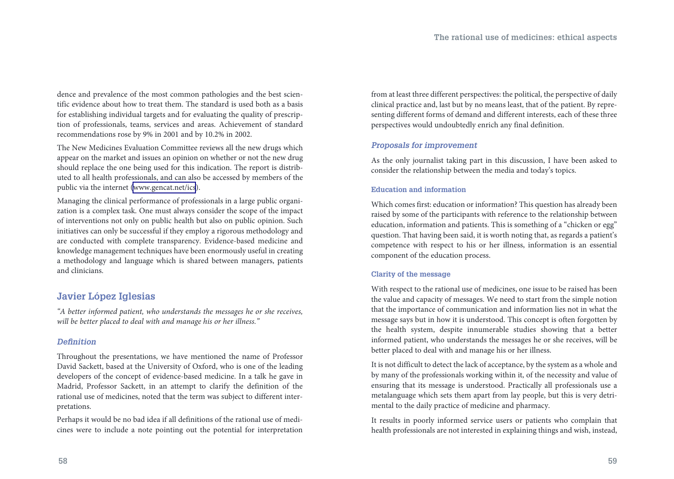dence and prevalence of the most common pathologies and the best scientific evidence about how to treat them. The standard is used both as a basis for establishing individual targets and for evaluating the quality of prescription of professionals, teams, services and areas. Achievement of standard recommendations rose by 9% in 2001 and by 10.2% in 2002.

The New Medicines Evaluation Committee reviews all the new drugs which appear on the market and issues an opinion on whether or not the new drug should replace the one being used for this indication. The report is distributed to all health professionals, and can also be accessed by members of the public via the internet ([www.gencat.net/ics](http://www.gencat.cat/ics/)).

Managing the clinical performance of professionals in a large public organization is a complex task. One must always consider the scope of the impact of interventions not only on public health but also on public opinion. Such initiatives can only be successful if they employ a rigorous methodology and are conducted with complete transparency. Evidence-based medicine and knowledge management techniques have been enormously useful in creating a methodology and language which is shared between managers, patients and clinicians.

### **Javier López Iglesias**

*"A better informed patient, who understands the messages he or she receives, will be better placed to deal with and manage his or her illness."*

#### *Definition*

Throughout the presentations, we have mentioned the name of Professor David Sackett, based at the University of Oxford, who is one of the leading developers of the concept of evidence-based medicine. In a talk he gave in Madrid, Professor Sackett, in an attempt to clarify the definition of the rational use of medicines, noted that the term was subject to different interpretations.

Perhaps it would be no bad idea if all definitions of the rational use of medicines were to include a note pointing out the potential for interpretation from at least three different perspectives: the political, the perspective of daily clinical practice and, last but by no means least, that of the patient. By representing different forms of demand and different interests, each of these three perspectives would undoubtedly enrich any final definition.

#### *Proposals for improvement*

As the only journalist taking part in this discussion, I have been asked to consider the relationship between the media and today's topics.

#### **Education and information**

Which comes first: education or information? This question has already been raised by some of the participants with reference to the relationship between education, information and patients. This is something of a "chicken or egg" question. That having been said, it is worth noting that, as regards a patient's competence with respect to his or her illness, information is an essential component of the education process.

#### **Clarity of the message**

With respect to the rational use of medicines, one issue to be raised has been the value and capacity of messages. We need to start from the simple notion that the importance of communication and information lies not in what the message says but in how it is understood. This concept is often forgotten by the health system, despite innumerable studies showing that a better informed patient, who understands the messages he or she receives, will be better placed to deal with and manage his or her illness.

It is not difficult to detect the lack of acceptance, by the system as a whole and by many of the professionals working within it, of the necessity and value of ensuring that its message is understood. Practically all professionals use a metalanguage which sets them apart from lay people, but this is very detrimental to the daily practice of medicine and pharmacy.

It results in poorly informed service users or patients who complain that health professionals are not interested in explaining things and wish, instead,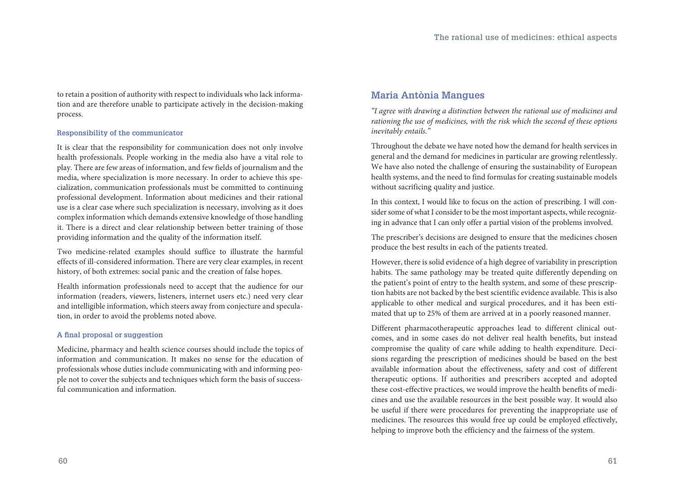to retain a position of authority with respect to individuals who lack information and are therefore unable to participate actively in the decision-making process.

#### **Responsibility of the communicator**

It is clear that the responsibility for communication does not only involve health professionals. People working in the media also have a vital role to play. There are few areas of information, and few fields of journalism and the media, where specialization is more necessary. In order to achieve this specialization, communication professionals must be committed to continuing professional development. Information about medicines and their rational use is a clear case where such specialization is necessary, involving as it does complex information which demands extensive knowledge of those handling it. There is a direct and clear relationship between better training of those providing information and the quality of the information itself.

Two medicine-related examples should suffice to illustrate the harmful effects of ill-considered information. There are very clear examples, in recent history, of both extremes: social panic and the creation of false hopes.

Health information professionals need to accept that the audience for our information (readers, viewers, listeners, internet users etc.) need very clear and intelligible information, which steers away from conjecture and speculation, in order to avoid the problems noted above.

#### **A final proposal or suggestion**

Medicine, pharmacy and health science courses should include the topics of information and communication. It makes no sense for the education of professionals whose duties include communicating with and informing people not to cover the subjects and techniques which form the basis of successful communication and information.

### **Maria Antònia Mangues**

*"I agree with drawing a distinction between the rational use of medicines and rationing the use of medicines, with the risk which the second of these options inevitably entails."*

Throughout the debate we have noted how the demand for health services in general and the demand for medicines in particular are growing relentlessly. We have also noted the challenge of ensuring the sustainability of European health systems, and the need to find formulas for creating sustainable models without sacrificing quality and justice.

In this context, I would like to focus on the action of prescribing. I will consider some of what I consider to be the most important aspects, while recognizing in advance that I can only offer a partial vision of the problems involved.

The prescriber's decisions are designed to ensure that the medicines chosen produce the best results in each of the patients treated.

However, there is solid evidence of a high degree of variability in prescription habits. The same pathology may be treated quite differently depending on the patient's point of entry to the health system, and some of these prescription habits are not backed by the best scientific evidence available. This is also applicable to other medical and surgical procedures, and it has been estimated that up to 25% of them are arrived at in a poorly reasoned manner.

Different pharmacotherapeutic approaches lead to different clinical outcomes, and in some cases do not deliver real health benefits, but instead compromise the quality of care while adding to health expenditure. Decisions regarding the prescription of medicines should be based on the best available information about the effectiveness, safety and cost of different therapeutic options. If authorities and prescribers accepted and adopted these cost-effective practices, we would improve the health benefits of medicines and use the available resources in the best possible way. It would also be useful if there were procedures for preventing the inappropriate use of medicines. The resources this would free up could be employed effectively, helping to improve both the efficiency and the fairness of the system.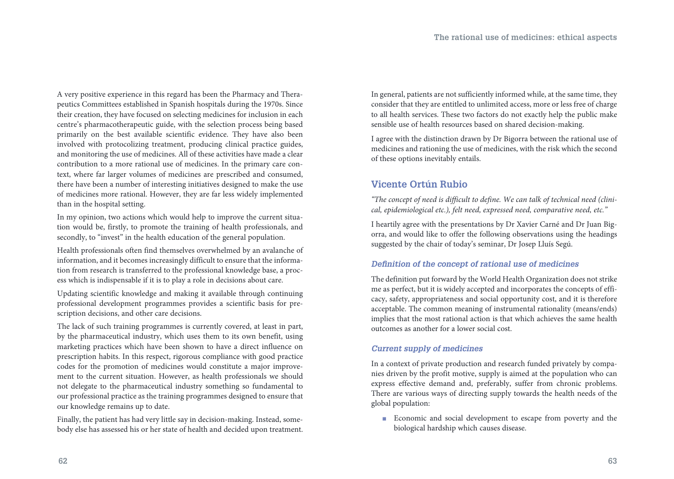A very positive experience in this regard has been the Pharmacy and Therapeutics Committees established in Spanish hospitals during the 1970s. Since their creation, they have focused on selecting medicines for inclusion in each centre's pharmacotherapeutic guide, with the selection process being based primarily on the best available scientific evidence. They have also been involved with protocolizing treatment, producing clinical practice guides, and monitoring the use of medicines. All of these activities have made a clear contribution to a more rational use of medicines. In the primary care context, where far larger volumes of medicines are prescribed and consumed, there have been a number of interesting initiatives designed to make the use of medicines more rational. However, they are far less widely implemented than in the hospital setting.

In my opinion, two actions which would help to improve the current situation would be, firstly, to promote the training of health professionals, and secondly, to "invest" in the health education of the general population.

Health professionals often find themselves overwhelmed by an avalanche of information, and it becomes increasingly difficult to ensure that the information from research is transferred to the professional knowledge base, a process which is indispensable if it is to play a role in decisions about care.

Updating scientific knowledge and making it available through continuing professional development programmes provides a scientific basis for prescription decisions, and other care decisions.

The lack of such training programmes is currently covered, at least in part, by the pharmaceutical industry, which uses them to its own benefit, using marketing practices which have been shown to have a direct influence on prescription habits. In this respect, rigorous compliance with good practice codes for the promotion of medicines would constitute a major improvement to the current situation. However, as health professionals we should not delegate to the pharmaceutical industry something so fundamental to our professional practice as the training programmes designed to ensure that our knowledge remains up to date.

Finally, the patient has had very little say in decision-making. Instead, somebody else has assessed his or her state of health and decided upon treatment. In general, patients are not sufficiently informed while, at the same time, they consider that they are entitled to unlimited access, more or less free of charge to all health services. These two factors do not exactly help the public make sensible use of health resources based on shared decision-making.

I agree with the distinction drawn by Dr Bigorra between the rational use of medicines and rationing the use of medicines, with the risk which the second of these options inevitably entails.

### **Vicente Ortún Rubio**

*"The concept of need is difficult to define. We can talk of technical need (clinical, epidemiological etc.), felt need, expressed need, comparative need, etc."*

I heartily agree with the presentations by Dr Xavier Carné and Dr Juan Bigorra, and would like to offer the following observations using the headings suggested by the chair of today's seminar, Dr Josep Lluís Segú.

#### *Definition of the concept of rational use of medicines*

The definition put forward by the World Health Organization does not strike me as perfect, but it is widely accepted and incorporates the concepts of efficacy, safety, appropriateness and social opportunity cost, and it is therefore acceptable. The common meaning of instrumental rationality (means/ends) implies that the most rational action is that which achieves the same health outcomes as another for a lower social cost.

#### *Current supply of medicines*

In a context of private production and research funded privately by companies driven by the profit motive, supply is aimed at the population who can express effective demand and, preferably, suffer from chronic problems. There are various ways of directing supply towards the health needs of the global population:

**Economic and social development to escape from poverty and the** biological hardship which causes disease.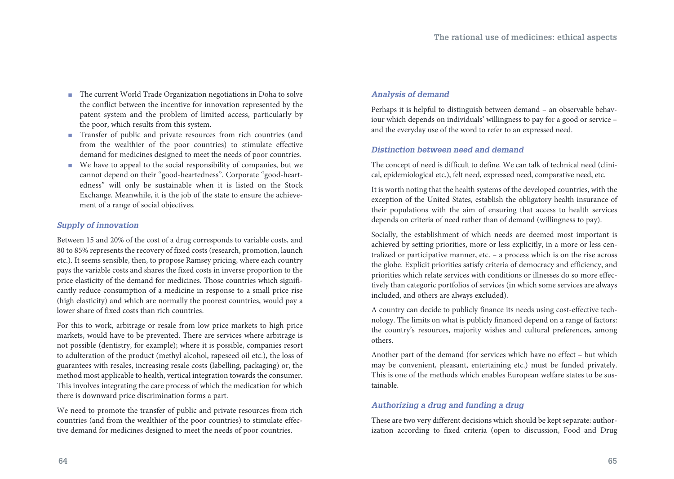- The current World Trade Organization negotiations in Doha to solve the conflict between the incentive for innovation represented by the patent system and the problem of limited access, particularly by the poor, which results from this system.
- Transfer of public and private resources from rich countries (and from the wealthier of the poor countries) to stimulate effective demand for medicines designed to meet the needs of poor countries.
- We have to appeal to the social responsibility of companies, but we cannot depend on their "good-heartedness". Corporate "good-heartedness" will only be sustainable when it is listed on the Stock Exchange. Meanwhile, it is the job of the state to ensure the achievement of a range of social objectives.

#### *Supply of innovation*

Between 15 and 20% of the cost of a drug corresponds to variable costs, and 80 to 85% represents the recovery of fixed costs (research, promotion, launch etc.). It seems sensible, then, to propose Ramsey pricing, where each country pays the variable costs and shares the fixed costs in inverse proportion to the price elasticity of the demand for medicines. Those countries which significantly reduce consumption of a medicine in response to a small price rise (high elasticity) and which are normally the poorest countries, would pay a lower share of fixed costs than rich countries.

For this to work, arbitrage or resale from low price markets to high price markets, would have to be prevented. There are services where arbitrage is not possible (dentistry, for example); where it is possible, companies resort to adulteration of the product (methyl alcohol, rapeseed oil etc.), the loss of guarantees with resales, increasing resale costs (labelling, packaging) or, the method most applicable to health, vertical integration towards the consumer. This involves integrating the care process of which the medication for which there is downward price discrimination forms a part.

We need to promote the transfer of public and private resources from rich countries (and from the wealthier of the poor countries) to stimulate effective demand for medicines designed to meet the needs of poor countries.

#### *Analysis of demand*

Perhaps it is helpful to distinguish between demand – an observable behaviour which depends on individuals' willingness to pay for a good or service – and the everyday use of the word to refer to an expressed need.

#### *Distinction between need and demand*

The concept of need is difficult to define. We can talk of technical need (clinical, epidemiological etc.), felt need, expressed need, comparative need, etc.

It is worth noting that the health systems of the developed countries, with the exception of the United States, establish the obligatory health insurance of their populations with the aim of ensuring that access to health services depends on criteria of need rather than of demand (willingness to pay).

Socially, the establishment of which needs are deemed most important is achieved by setting priorities, more or less explicitly, in a more or less centralized or participative manner, etc. – a process which is on the rise across the globe. Explicit priorities satisfy criteria of democracy and efficiency, and priorities which relate services with conditions or illnesses do so more effectively than categoric portfolios of services (in which some services are always included, and others are always excluded).

A country can decide to publicly finance its needs using cost-effective technology. The limits on what is publicly financed depend on a range of factors: the country's resources, majority wishes and cultural preferences, among others.

Another part of the demand (for services which have no effect – but which may be convenient, pleasant, entertaining etc.) must be funded privately. This is one of the methods which enables European welfare states to be sustainable.

#### *Authorizing a drug and funding a drug*

These are two very different decisions which should be kept separate: authorization according to fixed criteria (open to discussion, Food and Drug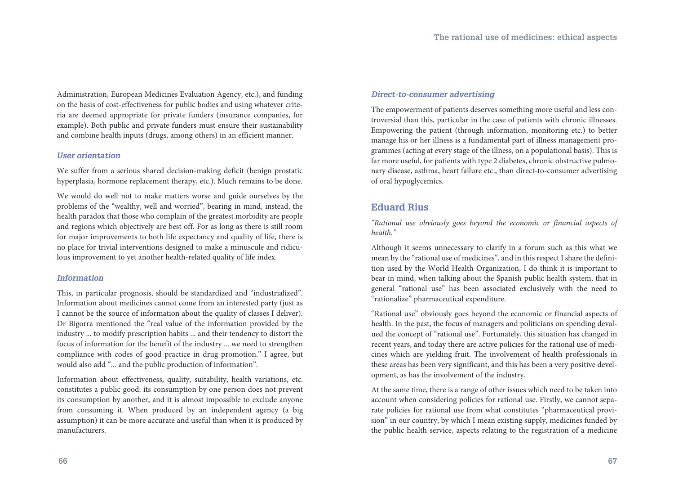Administration, European Medicines Evaluation Agency, etc.), and funding on the basis of cost-effectiveness for public bodies and using whatever criteria are deemed appropriate for private funders (insurance companies, for example). Both public and private funders must ensure their sustainability and combine health inputs (drugs, among others) in an efficient manner.

#### *User orientation*

We suffer from a serious shared decision-making deficit (benign prostatic hyperplasia, hormone replacement therapy, etc.). Much remains to be done.

We would do well not to make matters worse and guide ourselves by the problems of the "wealthy, well and worried", bearing in mind, instead, the health paradox that those who complain of the greatest morbidity are people and regions which objectively are best off. For as long as there is still room for major improvements to both life expectancy and quality of life, there is no place for trivial interventions designed to make a minuscule and ridiculous improvement to yet another health-related quality of life index.

#### *Information*

This, in particular prognosis, should be standardized and "industrialized". Information about medicines cannot come from an interested party (just as I cannot be the source of information about the quality of classes I deliver). Dr Bigorra mentioned the "real value of the information provided by the industry ... to modify prescription habits ... and their tendency to distort the focus of information for the benefit of the industry ... we need to strengthen compliance with codes of good practice in drug promotion." I agree, but would also add "... and the public production of information".

Information about effectiveness, quality, suitability, health variations, etc. constitutes a public good: its consumption by one person does not prevent its consumption by another, and it is almost impossible to exclude anyone from consuming it. When produced by an independent agency (a big assumption) it can be more accurate and useful than when it is produced by manufacturers.

#### *Direct-to-consumer advertising*

The empowerment of patients deserves something more useful and less controversial than this, particular in the case of patients with chronic illnesses. Empowering the patient (through information, monitoring etc.) to better manage his or her illness is a fundamental part of illness management programmes (acting at every stage of the illness, on a populational basis). This is far more useful, for patients with type 2 diabetes, chronic obstructive pulmonary disease, asthma, heart failure etc., than direct-to-consumer advertising of oral hypoglycemics.

#### **Eduard Rius**

*"Rational use obviously goes beyond the economic or financial aspects of health."*

Although it seems unnecessary to clarify in a forum such as this what we mean by the "rational use of medicines", and in this respect I share the definition used by the World Health Organization, I do think it is important to bear in mind, when talking about the Spanish public health system, that in general "rational use" has been associated exclusively with the need to "rationalize" pharmaceutical expenditure.

"Rational use" obviously goes beyond the economic or financial aspects of health. In the past, the focus of managers and politicians on spending devalued the concept of "rational use". Fortunately, this situation has changed in recent years, and today there are active policies for the rational use of medicines which are yielding fruit. The involvement of health professionals in these areas has been very significant, and this has been a very positive development, as has the involvement of the industry.

At the same time, there is a range of other issues which need to be taken into account when considering policies for rational use. Firstly, we cannot separate policies for rational use from what constitutes "pharmaceutical provision" in our country, by which I mean existing supply, medicines funded by the public health service, aspects relating to the registration of a medicine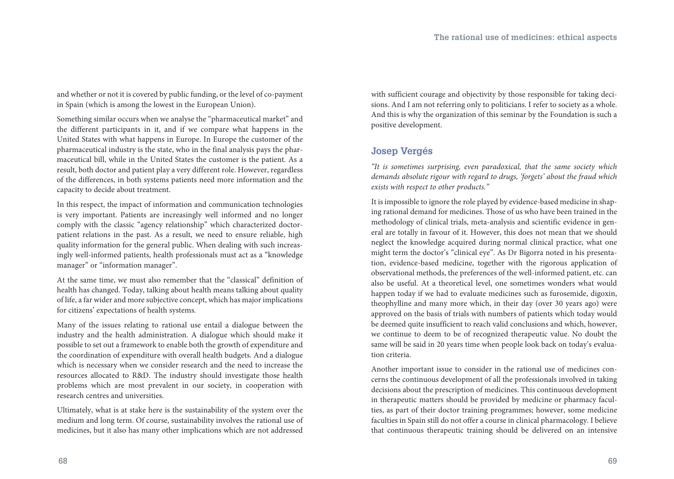and whether or not it is covered by public funding, or the level of co-payment in Spain (which is among the lowest in the European Union).

Something similar occurs when we analyse the "pharmaceutical market" and the different participants in it, and if we compare what happens in the United States with what happens in Europe. In Europe the customer of the pharmaceutical industry is the state, who in the final analysis pays the pharmaceutical bill, while in the United States the customer is the patient. As a result, both doctor and patient play a very different role. However, regardless of the differences, in both systems patients need more information and the capacity to decide about treatment.

In this respect, the impact of information and communication technologies is very important. Patients are increasingly well informed and no longer comply with the classic "agency relationship" which characterized doctorpatient relations in the past. As a result, we need to ensure reliable, high quality information for the general public. When dealing with such increasingly well-informed patients, health professionals must act as a "knowledge manager" or "information manager".

At the same time, we must also remember that the "classical" definition of health has changed. Today, talking about health means talking about quality of life, a far wider and more subjective concept, which has major implications for citizens' expectations of health systems.

Many of the issues relating to rational use entail a dialogue between the industry and the health administration. A dialogue which should make it possible to set out a framework to enable both the growth of expenditure and the coordination of expenditure with overall health budgets. And a dialogue which is necessary when we consider research and the need to increase the resources allocated to R&D. The industry should investigate those health problems which are most prevalent in our society, in cooperation with research centres and universities.

Ultimately, what is at stake here is the sustainability of the system over the medium and long term. Of course, sustainability involves the rational use of medicines, but it also has many other implications which are not addressed with sufficient courage and objectivity by those responsible for taking decisions. And I am not referring only to politicians. I refer to society as a whole. And this is why the organization of this seminar by the Foundation is such a positive development.

#### **Josep Vergés**

*"It is sometimes surprising, even paradoxical, that the same society which demands absolute rigour with regard to drugs, 'forgets' about the fraud which exists with respect to other products."*

It is impossible to ignore the role played by evidence-based medicine in shaping rational demand for medicines. Those of us who have been trained in the methodology of clinical trials, meta-analysis and scientific evidence in general are totally in favour of it. However, this does not mean that we should neglect the knowledge acquired during normal clinical practice, what one might term the doctor's "clinical eye". As Dr Bigorra noted in his presentation, evidence-based medicine, together with the rigorous application of observational methods, the preferences of the well-informed patient, etc. can also be useful. At a theoretical level, one sometimes wonders what would happen today if we had to evaluate medicines such as furosemide, digoxin, theophylline and many more which, in their day (over 30 years ago) were approved on the basis of trials with numbers of patients which today would be deemed quite insufficient to reach valid conclusions and which, however, we continue to deem to be of recognized therapeutic value. No doubt the same will be said in 20 years time when people look back on today's evaluation criteria.

Another important issue to consider in the rational use of medicines concerns the continuous development of all the professionals involved in taking decisions about the prescription of medicines. This continuous development in therapeutic matters should be provided by medicine or pharmacy faculties, as part of their doctor training programmes; however, some medicine faculties in Spain still do not offer a course in clinical pharmacology. I believe that continuous therapeutic training should be delivered on an intensive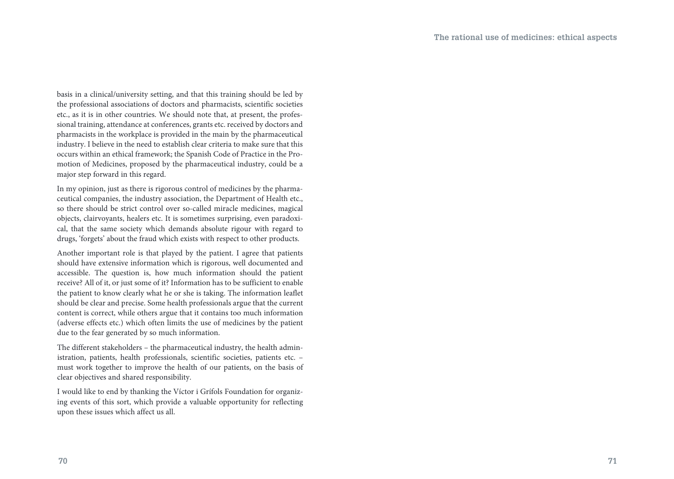basis in a clinical/university setting, and that this training should be led by the professional associations of doctors and pharmacists, scientific societies etc., as it is in other countries. We should note that, at present, the professional training, attendance at conferences, grants etc. received by doctors and pharmacists in the workplace is provided in the main by the pharmaceutical industry. I believe in the need to establish clear criteria to make sure that this occurs within an ethical framework; the Spanish Code of Practice in the Promotion of Medicines, proposed by the pharmaceutical industry, could be a major step forward in this regard.

In my opinion, just as there is rigorous control of medicines by the pharmaceutical companies, the industry association, the Department of Health etc., so there should be strict control over so-called miracle medicines, magical objects, clairvoyants, healers etc. It is sometimes surprising, even paradoxical, that the same society which demands absolute rigour with regard to drugs, 'forgets' about the fraud which exists with respect to other products.

Another important role is that played by the patient. I agree that patients should have extensive information which is rigorous, well documented and accessible. The question is, how much information should the patient receive? All of it, or just some of it? Information has to be sufficient to enable the patient to know clearly what he or she is taking. The information leaflet should be clear and precise. Some health professionals argue that the current content is correct, while others argue that it contains too much information (adverse effects etc.) which often limits the use of medicines by the patient due to the fear generated by so much information.

The different stakeholders – the pharmaceutical industry, the health administration, patients, health professionals, scientific societies, patients etc. – must work together to improve the health of our patients, on the basis of clear objectives and shared responsibility.

I would like to end by thanking the Víctor i Grífols Foundation for organizing events of this sort, which provide a valuable opportunity for reflecting upon these issues which affect us all.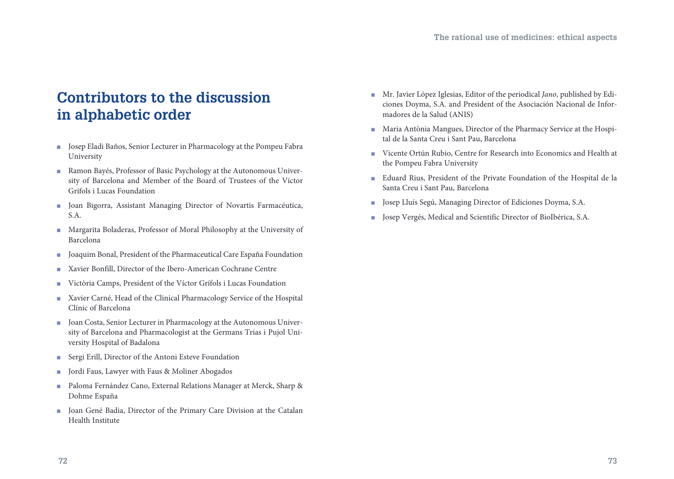# **Contributors to the discussion in alphabetic order**

- **n** Josep Eladi Baños, Senior Lecturer in Pharmacology at the Pompeu Fabra University
- **Ramon Bayés, Professor of Basic Psychology at the Autonomous Univer**sity of Barcelona and Member of the Board of Trustees of the Víctor Grífols i Lucas Foundation
- **n** Joan Bigorra, Assistant Managing Director of Novartis Farmacéutica, S.A.
- **n** Margarita Boladeras, Professor of Moral Philosophy at the University of Barcelona
- Joaquim Bonal, President of the Pharmaceutical Care España Foundation
- **Xavier Bonfill, Director of the Ibero-American Cochrane Centre**
- <sup>n</sup> Victòria Camps, President of the Víctor Grífols i Lucas Foundation
- Xavier Carné, Head of the Clinical Pharmacology Service of the Hospital Clínic of Barcelona
- Joan Costa, Senior Lecturer in Pharmacology at the Autonomous University of Barcelona and Pharmacologist at the Germans Trias i Pujol University Hospital of Badalona
- Sergi Erill, Director of the Antoni Esteve Foundation
- Jordi Faus, Lawyer with Faus & Moliner Abogados
- <sup>n</sup>Paloma Fernández Cano, External Relations Manager at Merck, Sharp & Dohme España
- **n** Joan Gené Badia, Director of the Primary Care Division at the Catalan Health Institute
- <sup>n</sup>Mr. Javier López Iglesias, Editor of the periodical *Jano*, published by Ediciones Doyma, S.A. and President of the Asociación Nacional de Informadores de la Salud (ANIS)
- Maria Antònia Mangues, Director of the Pharmacy Service at the Hospital de la Santa Creu i Sant Pau, Barcelona
- Vicente Ortún Rubio, Centre for Research into Economics and Health at the Pompeu Fabra University
- Eduard Rius, President of the Private Foundation of the Hospital de la Santa Creu i Sant Pau, Barcelona
- Josep Lluís Segú, Managing Director of Ediciones Doyma, S.A.
- Josep Vergés, Medical and Scientific Director of BioIbérica, S.A.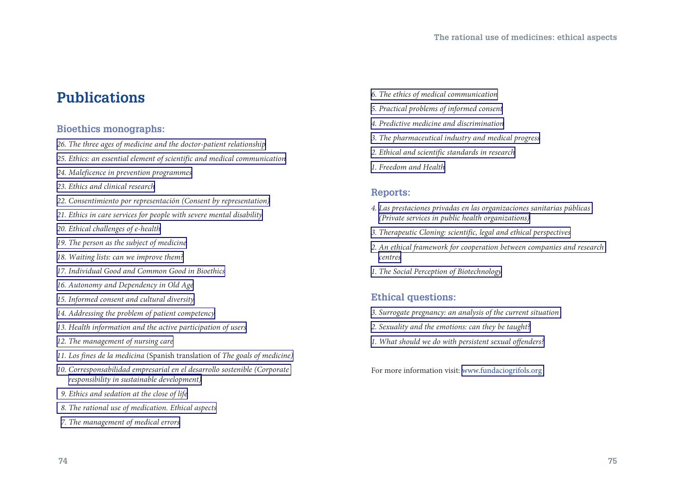## **Publications**

#### **Bioethics monographs:**

- *[26. The three ages of medicine and the doctor-patient relationship](http://www.fundaciongrifols.org/portal/en/2/7353/ctnt/dD10/_/_/5w0r/26-Las-tres-edades-de-la-medicina-y-la-relaci�n-m�dico-paciente-The-three-ages-of.html)*
- *[25. Ethics: an essential element of scientific and medical communication](http://www.fundaciongrifols.org/portal/en/2/7353/ctnt/dD10/_/_/5blo/25-Ethics-the-essence-of-scientific-and-medical-communication.html)*
- *[24. Maleficence in prevention programmes](http://www.fundaciongrifols.org/portal/en/2/7353/ctnt/dD10/_/_/5au1/24-Maleficencia-en-los-programas-de-prevenci�n-Maleficence-in-prevention-programm.html)*
- *[23. Ethics and clinical research](http://www.fundaciongrifols.org/portal/en/2/7353/ctnt/dD10/_/_/4b41/23-Ethics-and-Clinical-Research.html)*
- *[22. Consentimiento por representación \(Consent by representation\)](http://www.fundaciongrifols.org/portal/en/2/7353/ctnt/dD10/_/_/4b3o/22-Consentimiento-por-representaci�n-Consent-by-representation-.html)*
- *[21. Ethics in care services for people with severe mental disability](http://www.fundaciongrifols.org/portal/en/2/7353/ctnt/dD10/_/_/4b2f/21-Ethics-in-care-services-for-people-with-severe-mental-disability.html)*
- *[20. Ethical challenges of e-health](http://www.fundaciongrifols.org/portal/en/2/7353/ctnt/dD10/_/_/3mk2/20-Ethical-challenges-of-e-health.html)*
- *[19. The person as the subject of medicine](http://www.fundaciongrifols.org/portal/en/2/7353/ctnt/dD10/_/_/3mie/19-The-person-as-the-subject-of-medicine.html)*
- *[18. Waiting lists: can we improve them?](http://www.fundaciongrifols.org/portal/en/2/7353/ctnt/dD10/_/_/3mf2/18-Waiting-lists-Can-we-improve-them-.html)*
- *[17. Individual Good and Common Good in Bioethics](http://www.fundaciongrifols.org/portal/en/2/7353/ctnt/dD10/_/_/37gb/17-Individual-Good-and-Common-Good-in-Bioethics.html)*
- *[16. Autonomy and Dependency in Old Age](http://www.fundaciongrifols.org/portal/en/2/7353/ctnt/dD10/_/_/37ev/16-Autonomy-and-Dependency-in-Old-Age.html)*
- *[15. Informed consent and cultural diversity](http://www.fundaciongrifols.org/portal/en/2/7353/ctnt/dD10/_/_/g1m/15-Informed-consent-and-cultural-diversity.html)*
- *[14. Addressing the problem of patient competency](http://www.fundaciongrifols.org/portal/en/2/7353/ctnt/dD10/_/_/g16/14-Addressing-the-problem-of-patient-competency.html)*
- *[13. Health information and the active participation of users](http://www.fundaciongrifols.org/portal/en/2/7353/ctnt/dD10/_/_/5vd/13-Health-information-and-the-active-participation-of-users.html)*
- *[12. The management of nursing care](http://www.fundaciongrifols.org/portal/en/2/7353/ctnt/dD10/_/_/5v9/12-The-management-of-nursing-care.html)*
- *[11. Los fines de la medicina](http://www.fundaciongrifols.org/portal/en/2/7353/ctnt/dD10/_/_/5v5/11-Los-fines-de-la-medicina-The-Goals-of-Medicine-.html)* (Spanish translation of *The goals of medicine)*
- *[10. Corresponsabilidad empresarial en el desarrollo sostenible \(Corporate](http://www.fundaciongrifols.org/portal/en/2/7353/ctnt/dD10/_/_/5v1/10-Corresponsabilidad-empresarial-en-el-desarrollo-sostenible-Corporate-responsib.html)  [responsibility in sustainable development\)](http://www.fundaciongrifols.org/portal/en/2/7353/ctnt/dD10/_/_/5v1/10-Corresponsabilidad-empresarial-en-el-desarrollo-sostenible-Corporate-responsib.html)*
- *[9. Ethics and sedation at the close of life](http://www.fundaciongrifols.org/portal/en/2/7353/ctnt/dD10/_/_/5ux/09-Ethics-and-sedation-at-the-close-of-life.html)*
- *[8. The rational use of medication. Ethical aspects](http://www.fundaciongrifols.org/portal/en/2/7353/ctnt/dD10/_/_/5ut/08-Uso-racional-de-los-medicamentos-Aspectos-�ticos-The-rational-use-of-medicatio.html)*
- *[7. The management of medical errors](http://www.fundaciongrifols.org/portal/en/2/7353/ctnt/dD10/_/_/5up/07-The-management-of-medical-errors.html)*
- *[6. The ethics of medical communication](http://www.fundaciongrifols.org/portal/en/2/7353/ctnt/dD10/_/_/5ul/06-Ethics-of-medical-communications.html)*
- *[5. Practical problems of informed consent](http://www.fundaciongrifols.org/portal/en/2/7353/ctnt/dD10/_/_/5uh/05-Problemas-pr�cticos-del-consentimiento-informado-Practical-problems-of-informe.html)*
- *[4. Predictive medicine and discrimination](http://www.fundaciongrifols.org/portal/en/2/7353/ctnt/dD10/_/_/5ud/04-Predictive-medicine-and-discrimination.html)*
- *[3. The pharmaceutical industry and medical progress](http://www.fundaciongrifols.org/portal/en/2/7353/ctnt/dD10/_/_/5u9/03-The-pharmaceutical-industry-and-medical-progress.html)*
- *[2. Ethical and scientific standards in research](http://www.fundaciongrifols.org/portal/en/2/7353/ctnt/dD10/_/_/5u5/02-Ethical-and-scientific-standards-in-research.html)*
- *[1. Freedom and Health](http://www.fundaciongrifols.org/portal/en/2/7353/ctnt/dD10/_/_/5u1/01-Freedom-and-Health.html)*

#### **Reports:**

- *4. [Las prestaciones privadas en las organizaciones sanitarias públicas](http://www.fundaciongrifols.org/portal/en/2/7353/ctnt/dD10/_/_/cbx/04-Las-prestaciones-privadas-en-las-organizaciones-sanitarias-p�blicas-Private-se.html)  [\(Private services in public health organizations\)](http://www.fundaciongrifols.org/portal/en/2/7353/ctnt/dD10/_/_/cbx/04-Las-prestaciones-privadas-en-las-organizaciones-sanitarias-p�blicas-Private-se.html)*
- *[3. Therapeutic Cloning: scientific, legal and ethical perspectives](http://www.fundaciongrifols.org/portal/en/2/7353/ctnt/dD10/_/_/cd7/03-Therapeutic-Cloning-ethical-legal-and-scientific-perspectives.html)*
- *[2. An ethical framework for cooperation between companies and research](http://www.fundaciongrifols.org/portal/en/2/7353/ctnt/dD10/_/_/ce1/02-An-ethical-framework-for-cooperation-between-companies-and-research-centers.html)  [centres](http://www.fundaciongrifols.org/portal/en/2/7353/ctnt/dD10/_/_/ce1/02-An-ethical-framework-for-cooperation-between-companies-and-research-centers.html)*
- *[1. The Social Perception of Biotechnology](http://www.fundaciongrifols.org/portal/en/2/7353/ctnt/dD10/_/_/5zy/01-Social-Perceptions-of-Biotechnology.html)*

#### **Ethical questions:**

- *[3. Surrogate pregnancy: an analysis of the current situation](http://www.fundaciogrifols.org/portal/en/2/7353/ctnt/dD10/_/_/5btu/03-Surrogate-pregnancy-an-analysis-of-the-current-situation.html)*
- *[2. Sexuality and the emotions: can they be taught?](http://www.fundaciongrifols.org/portal/en/2/7353/ctnt/dD10/_/_/4pf5/02-Sexuality-and-the-emotions-Can-they-be-taught-.html)*
- *[1. What should we do with persistent sexual offenders?](http://www.fundaciongrifols.org/portal/en/2/7353/ctnt/dD10/_/_/cf1/01-What-should-we-do-with-persistent-sexual-offenders-.html)*

For more information visit: <www.fundaciogrifols.org>